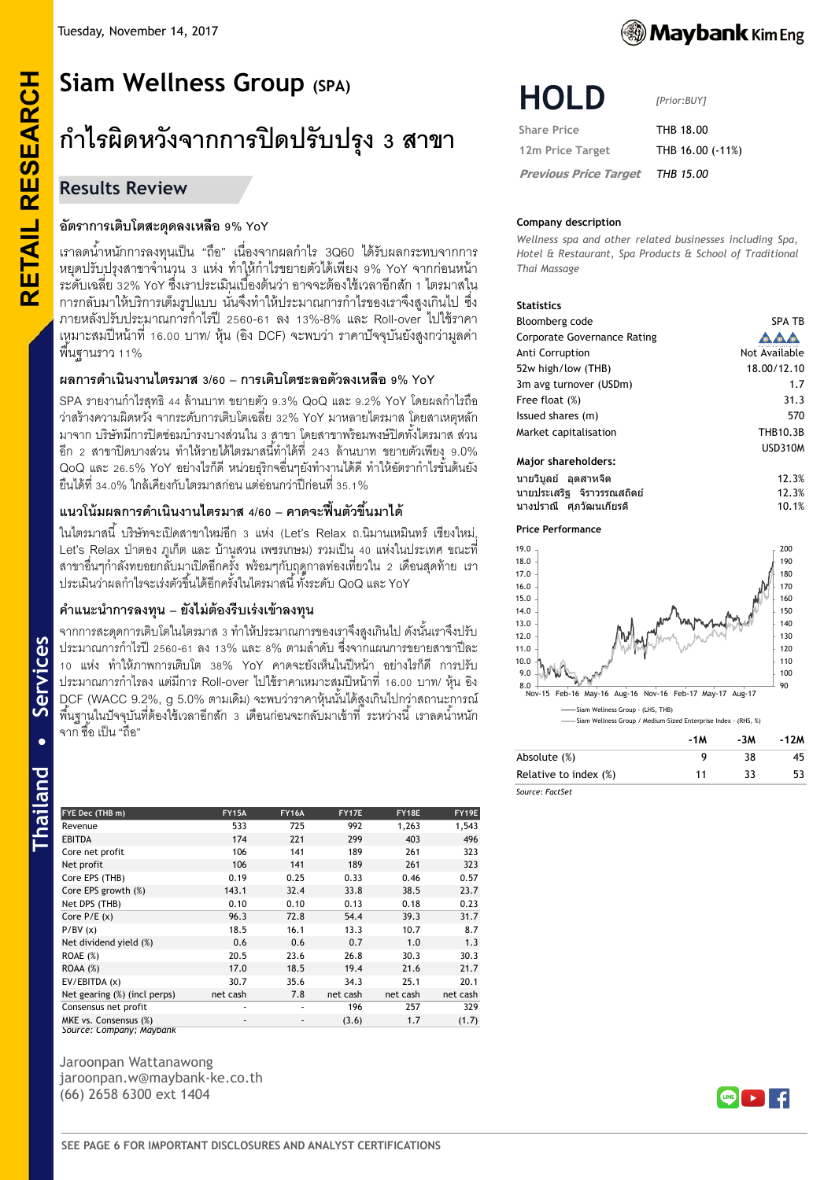# **RETAIL RESEARCH Siam Wellness Group (SPA) ก ำไรผิดหวังจำกกำรปิ ดปรับปรุง 3 สำขำ**

# **Results Review**

**RETAIL RESEARCH** 

# **อัตรำกำรเติบโตสะดุดลงเหลือ 9% YoY**

ี เราลดน้ำหนักการลงทุนเป็น "ถือ" เนื่องจากผลกำไร 3Q60 ได้รับผลกระทบจากการ หยุดปรับปรุงสาขาจำนวน 3 แห่ง ทำให้กำไรขยายตัวได้เพียง 9% YoY จากก่อนหน้า ้ ระดับเฉลี่ย 32% YoY ซึ่งเราประเมินเบื้องต้นว่า อาจจะต้องใช้เวลาอีกสัก 1 ไตรมาสใน ึการกลับมาให้บริการเต็มรูปแบบ นั่นจึงทำให้ประมาณการกำไรของเราจึงสงเกินไป ซึ่ง ภายหลังปรับประมาณการกำไรปี 2560-61 ลง 13%-8% และ Roll-over ไปใช้ราคา เหมาะสมปี หน้าที่ 16.00 บาท/ หุ้น (อิง DCF) จะพบว่า ราคาปัจจุบันยังสูงกว่ามูลค่า ี พื้นฐานราว 11%

# **ผลกำรด ำเนินงำนไตรมำส 3/60 – กำรเติบโตชะลอตัวลงเหลือ 9% YoY**

SPA รายงานกำไรสุทธิ 44 ล้านบาท ขยายตัว 9.3% QoQ และ 9.2% YoY โดยผลกำไรถือ ว่าสร้างความผิดหวัง จากระดับการเติบโตเฉลี่ย 32% YoY มาหลายไตรมาส โดยสาเหตุหลัก ้มาจาก บริษัทมีการปิดซ่อมบำรงบางส่วนใน 3 สาขา โดยสาขาพร้อมพงษ์ปิดทั้งไตรมาส ส่วน ่ อีก 2 สาขาปิดบางส่วน ทำให้รายได้ไตรมาสนี้ทำได้ที่ 243 ล้านบาท ขยายตัวเพียง 9.0% QoQ และ 26.5% YoY อย่างไรก็ดี หน่วยธุริกจอื่นๆยังทำงานได้ดี ทำให้อัตรากำไรขั้นต้นยัง ยืนได้ที่ 34.0% ใกล้เคียงกับไตรมาสก่อน แต่อ่อนกว่าปี ก่อนที่ 35.1%

# **แนวโน้มผลกำรด ำเนินงำนไตรมำส 4/60 – คำดจะฟื้นตัวขึ้นมำได้**

ในไตรมาสนี ้ บริษัทจะเปิ ดสาขาใหม่อีก 3 แห่ง (Let's Relax ถ.นิมานเหมินทร์ เชียงใหม่, Let's Relax ป่าตอง ภูเก็ต และ บ้านสวน เพชรเกษม) รวมเป็น 40 แห่งในประเทศ ขณะที่ ี สาขาอื่นๆกำลังทยอยกลับมาเปิดอีกครั้ง พร้อมๆกับฤดูกาลท่องเที่ยวใน 2 เดือนสุดท้าย เรา ประเมินว่าผลก าไรจะเร่งตัวขึ ้นได้อีกครั ้งในไตรมาสนี ้ ทั ้งระดับ QoQ และ YoY

# **ค ำแนะน ำกำรลงทุน – ยังไม่ต้องรีบเร่งเข้ำลงทุน**

ิ จากการสะดุดการเติบโตในไตรมาส 3 ทำให้ประมาณการของเราจึงสูงเกินไป ดังนั้นเราจึงปรับ ประมาณการกำไรปี 2560-61 ลง 13% และ 8% ตามลำดับ ซึ่งจากแผนการขยายสาขาปีละ 10 แห่ง ท าให้ภาพการเติบโต 38% YoY คาดจะยังเห็นในปี หน้า อย่างไรก็ดี การปรับ ประมาณการกำไรลง แต่มีการ Roll-over ไปใช้ราคาเหมาะสมปีหน้าที่ 16.00 บาท/ หุ้น อิง DCF (WACC 9.2%, g 5.0% ตามเดิม) จะพบว่าราคาหุ้นนั้นได้สูงเกินไปกว่าสถานะการณ์ ้ พื้นฐานในปัจจุบันที่ต้องใช้เวลาอีกสัก 3 เดือนก่อนจะกลับมาเข้าที่ ระหว่างนี้ เราลดน้ำหนัก ้ จาก ซื้อ เป็น "ถือ"

| FYE Dec (THB m)              | <b>FY15A</b> | <b>FY16A</b> | FY17E    | FY18E    | FY19E    |
|------------------------------|--------------|--------------|----------|----------|----------|
| Revenue                      | 533          | 725          | 992      | 1,263    | 1,543    |
| <b>EBITDA</b>                | 174          | 221          | 299      | 403      | 496      |
| Core net profit              | 106          | 141          | 189      | 261      | 323      |
| Net profit                   | 106          | 141          | 189      | 261      | 323      |
| Core EPS (THB)               | 0.19         | 0.25         | 0.33     | 0.46     | 0.57     |
| Core EPS growth (%)          | 143.1        | 32.4         | 33.8     | 38.5     | 23.7     |
| Net DPS (THB)                | 0.10         | 0.10         | 0.13     | 0.18     | 0.23     |
| Core $P/E(x)$                | 96.3         | 72.8         | 54.4     | 39.3     | 31.7     |
| P/BV(x)                      | 18.5         | 16.1         | 13.3     | 10.7     | 8.7      |
| Net dividend yield (%)       | 0.6          | 0.6          | 0.7      | 1.0      | 1.3      |
| ROAE $(\%)$                  | 20.5         | 23.6         | 26.8     | 30.3     | 30.3     |
| <b>ROAA</b> (%)              | 17.0         | 18.5         | 19.4     | 21.6     | 21.7     |
| EV/EBITDA (x)                | 30.7         | 35.6         | 34.3     | 25.1     | 20.1     |
| Net gearing (%) (incl perps) | net cash     | 7.8          | net cash | net cash | net cash |
| Consensus net profit         | ۰            |              | 196      | 257      | 329      |
| MKE vs. Consensus (%)        | ٠            | ٠            | (3.6)    | 1.7      | (1.7)    |

Jaroonpan Wattanawong jaroonpan.w@maybank-ke.co.th (66) 2658 6300 ext 1404

*Source: Company; Maybank*



# **HOLD**

*[Prior:BUY]*

**Share Price THB 18.00 12m Price Target** THB 16.00 (-11%)

 **Previous Price Target** *THB 15.00*

#### **Company description**

*Wellness spa and other related businesses including Spa, Hotel & Restaurant, Spa Products & School of Traditional Thai Massage*

#### **Statistics**

| Bloomberg code                     | <b>SPA TB</b>   |
|------------------------------------|-----------------|
| <b>Corporate Governance Rating</b> |                 |
| Anti Corruption                    | Not Available   |
| 52w high/low (THB)                 | 18.00/12.10     |
| 3m avg turnover (USDm)             | 1.7             |
| Free float (%)                     | 31.3            |
| Issued shares (m)                  | 570             |
| Market capitalisation              | <b>THB10.3B</b> |
|                                    | <b>USD310M</b>  |
| Major shareholders:                |                 |
| นายวิบลย์ อดสาหจิด                 | 12.3%           |
| นายประเสริฐ จิราวรรณสถิตย์         | 12.3%           |

นางปราณี ศภุ วฒั นเกยี รติ 10.1%

**Price Performance**



|                       | -1M | -3M | -12M |
|-----------------------|-----|-----|------|
| Absolute (%)          | q   | 38  | 45   |
| Relative to index (%) | 11  | 33  | 53   |
| Source: FactSet       |     |     |      |

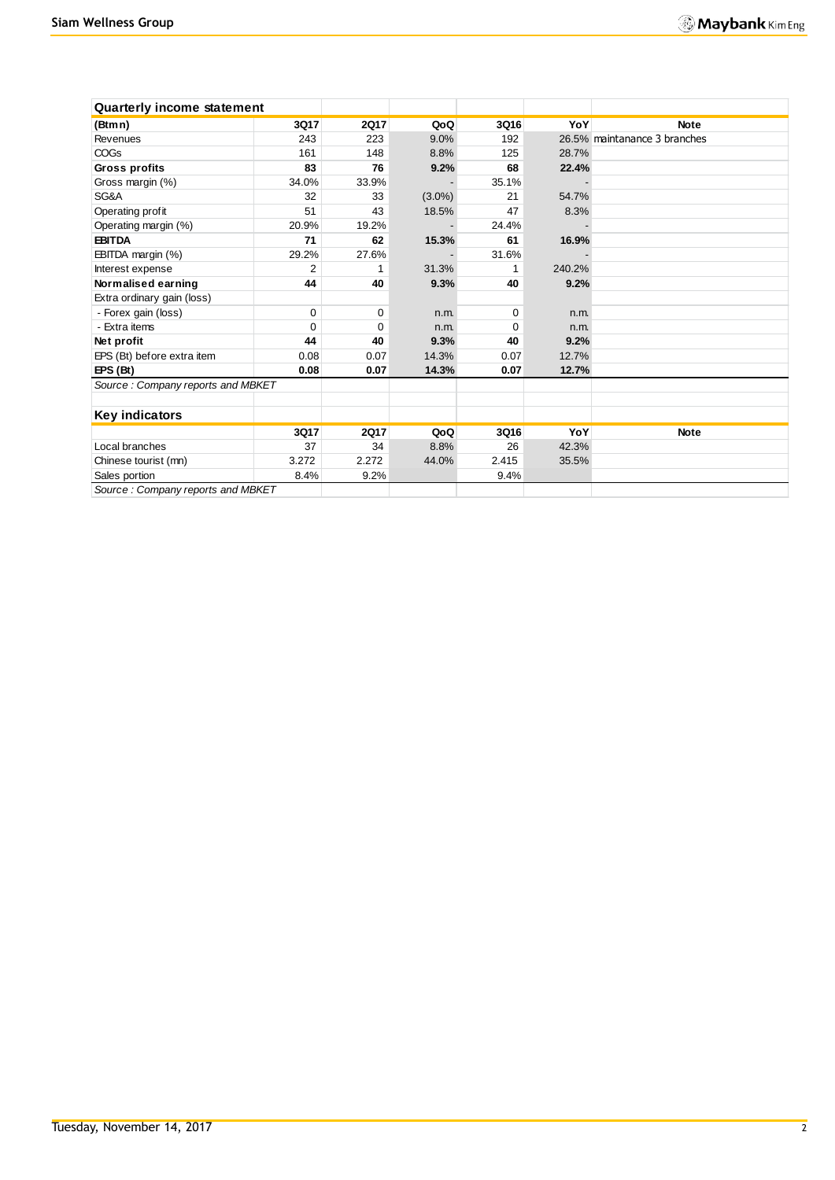| <b>Quarterly income statement</b>  |          |             |           |       |        |                              |
|------------------------------------|----------|-------------|-----------|-------|--------|------------------------------|
| (Btmn)                             | 3Q17     | <b>2Q17</b> | QoQ       | 3Q16  | YoY    | <b>Note</b>                  |
| Revenues                           | 243      | 223         | 9.0%      | 192   |        | 26.5% maintanance 3 branches |
| <b>COGs</b>                        | 161      | 148         | 8.8%      | 125   | 28.7%  |                              |
| Gross profits                      | 83       | 76          | 9.2%      | 68    | 22.4%  |                              |
| Gross margin (%)                   | 34.0%    | 33.9%       |           | 35.1% |        |                              |
| SG&A                               | 32       | 33          | $(3.0\%)$ | 21    | 54.7%  |                              |
| Operating profit                   | 51       | 43          | 18.5%     | 47    | 8.3%   |                              |
| Operating margin (%)               | 20.9%    | 19.2%       |           | 24.4% |        |                              |
| <b>EBITDA</b>                      | 71       | 62          | 15.3%     | 61    | 16.9%  |                              |
| EBITDA margin (%)                  | 29.2%    | 27.6%       |           | 31.6% |        |                              |
| Interest expense                   | 2        |             | 31.3%     |       | 240.2% |                              |
| Normalised earning                 | 44       | 40          | 9.3%      | 40    | 9.2%   |                              |
| Extra ordinary gain (loss)         |          |             |           |       |        |                              |
| - Forex gain (loss)                | $\Omega$ | 0           | n.m.      | 0     | n.m.   |                              |
| - Extra items                      | $\Omega$ | 0           | n.m.      | 0     | n.m.   |                              |
| Net profit                         | 44       | 40          | 9.3%      | 40    | 9.2%   |                              |
| EPS (Bt) before extra item         | 0.08     | 0.07        | 14.3%     | 0.07  | 12.7%  |                              |
| EPS(Bt)                            | 0.08     | 0.07        | 14.3%     | 0.07  | 12.7%  |                              |
| Source: Company reports and MBKET  |          |             |           |       |        |                              |
| <b>Key indicators</b>              |          |             |           |       |        |                              |
|                                    | 3Q17     | <b>2Q17</b> | QoQ       | 3Q16  | YoY    | <b>Note</b>                  |
| Local branches                     | 37       | 34          | 8.8%      | 26    | 42.3%  |                              |
| Chinese tourist (mn)               | 3.272    | 2.272       | 44.0%     | 2.415 | 35.5%  |                              |
| Sales portion                      | 8.4%     | 9.2%        |           | 9.4%  |        |                              |
| Source : Company reports and MRKET |          |             |           |       |        |                              |

*Source : Company reports and MBKET*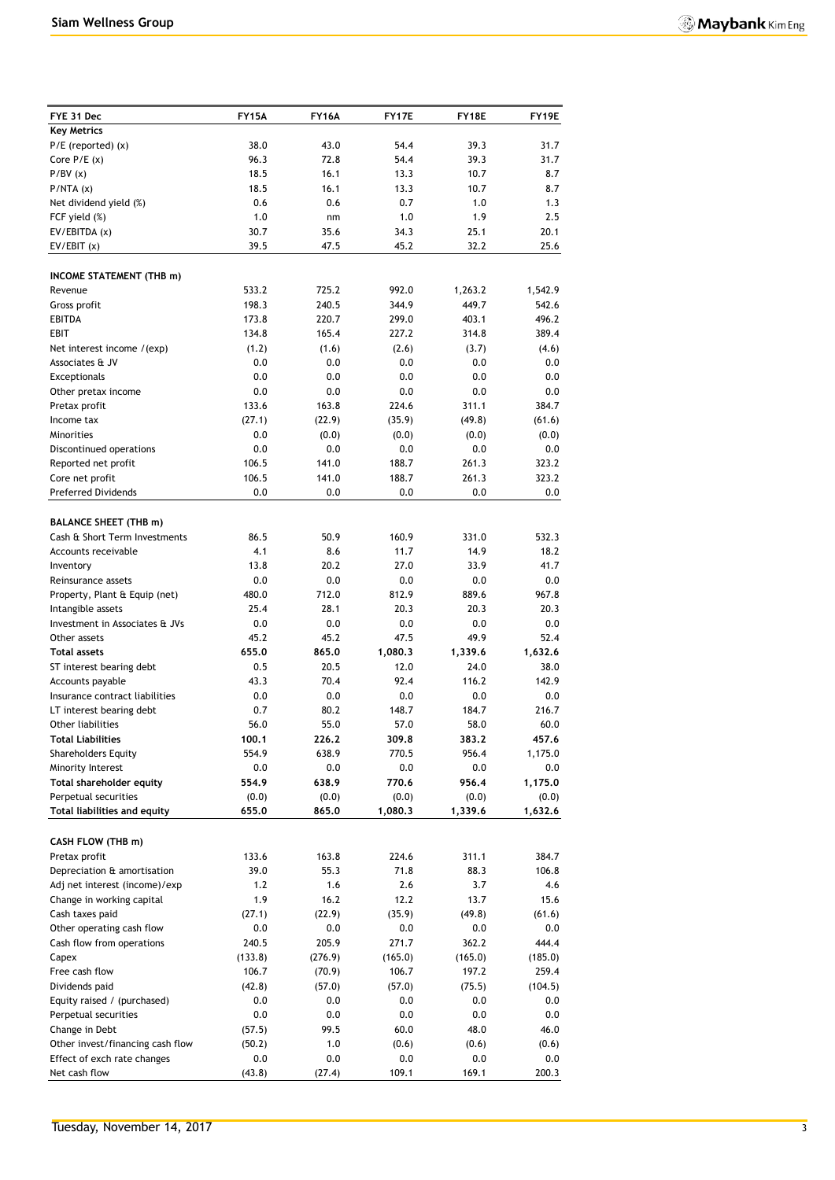| FYE 31 Dec                                           | <b>FY15A</b>      | <b>FY16A</b>  | FY17E         | FY18E         | FY19E          |
|------------------------------------------------------|-------------------|---------------|---------------|---------------|----------------|
| <b>Key Metrics</b>                                   |                   |               |               |               |                |
| $P/E$ (reported) $(x)$                               | 38.0              | 43.0          | 54.4          | 39.3          | 31.7           |
| Core $P/E(x)$                                        | 96.3              | 72.8          | 54.4          | 39.3          | 31.7           |
| P/BV(x)                                              | 18.5              | 16.1          | 13.3          | 10.7          | 8.7            |
| P/NTA(x)                                             | 18.5              | 16.1          | 13.3          | 10.7          | 8.7            |
| Net dividend yield (%)                               | 0.6               | 0.6           | 0.7           | 1.0           | 1.3            |
| FCF yield (%)                                        | 1.0               | nm            | 1.0           | 1.9           | 2.5            |
| EV/EBITDA (x)                                        | 30.7              | 35.6          | 34.3          | 25.1          | 20.1           |
| EV/EBIT(x)                                           | 39.5              | 47.5          | 45.2          | 32.2          | 25.6           |
| <b>INCOME STATEMENT (THB m)</b>                      |                   |               |               |               |                |
| Revenue                                              | 533.2             | 725.2         | 992.0         | 1,263.2       | 1,542.9        |
| Gross profit                                         | 198.3             | 240.5         | 344.9         | 449.7         | 542.6          |
| <b>EBITDA</b>                                        | 173.8             | 220.7         | 299.0         | 403.1         | 496.2          |
| <b>EBIT</b>                                          | 134.8             | 165.4         | 227.2         | 314.8         | 389.4          |
| Net interest income /(exp)                           | (1.2)             | (1.6)         | (2.6)         | (3.7)         | (4.6)          |
| Associates & JV                                      | 0.0               | 0.0           | 0.0           | 0.0           | 0.0            |
| Exceptionals                                         | 0.0               | 0.0           | 0.0           | 0.0           | 0.0            |
| Other pretax income                                  | 0.0<br>133.6      | 0.0<br>163.8  | 0.0<br>224.6  | 0.0<br>311.1  | 0.0<br>384.7   |
| Pretax profit<br>Income tax                          | (27.1)            | (22.9)        | (35.9)        | (49.8)        | (61.6)         |
| Minorities                                           | 0.0               | (0.0)         | (0.0)         | (0.0)         | (0.0)          |
| Discontinued operations                              | 0.0               | 0.0           | 0.0           | 0.0           | 0.0            |
| Reported net profit                                  | 106.5             | 141.0         | 188.7         | 261.3         | 323.2          |
| Core net profit                                      | 106.5             | 141.0         | 188.7         | 261.3         | 323.2          |
| <b>Preferred Dividends</b>                           | 0.0               | 0.0           | 0.0           | 0.0           | 0.0            |
|                                                      |                   |               |               |               |                |
| <b>BALANCE SHEET (THB m)</b>                         |                   |               |               |               |                |
| Cash & Short Term Investments<br>Accounts receivable | 86.5<br>4.1       | 50.9<br>8.6   | 160.9<br>11.7 | 331.0<br>14.9 | 532.3<br>18.2  |
| Inventory                                            | 13.8              | 20.2          | 27.0          | 33.9          | 41.7           |
| Reinsurance assets                                   | 0.0               | 0.0           | 0.0           | 0.0           | 0.0            |
| Property, Plant & Equip (net)                        | 480.0             | 712.0         | 812.9         | 889.6         | 967.8          |
| Intangible assets                                    | 25.4              | 28.1          | 20.3          | 20.3          | 20.3           |
| Investment in Associates & JVs                       | 0.0               | 0.0           | 0.0           | 0.0           | 0.0            |
| Other assets                                         | 45.2              | 45.2          | 47.5          | 49.9          | 52.4           |
| <b>Total assets</b>                                  | 655.0             | 865.0         | 1,080.3       | 1,339.6       | 1,632.6        |
| ST interest bearing debt                             | 0.5               | 20.5          | 12.0          | 24.0          | 38.0           |
| Accounts payable                                     | 43.3              | 70.4          | 92.4          | 116.2         | 142.9          |
| Insurance contract liabilities                       | 0.0               | 0.0           | 0.0           | 0.0           | 0.0            |
| LT interest bearing debt                             | 0.7               | 80.2          | 148.7         | 184.7         | 216.7          |
| Other liabilities                                    | 56.0              | 55.0          | 57.0          | 58.0          | 60.0           |
| <b>Total Liabilities</b>                             | 100.1             | 226.2         | 309.8         | 383.2         | 457.6          |
| <b>Shareholders Equity</b><br>Minority Interest      | 554.9<br>$0.0\,$  | 638.9<br>0.0  | 770.5<br>0.0  | 956.4<br>0.0  | 1,175.0        |
| Total shareholder equity                             | 554.9             | 638.9         | 770.6         | 956.4         | 0.0<br>1,175.0 |
| Perpetual securities                                 | (0.0)             | (0.0)         | (0.0)         | (0.0)         | (0.0)          |
| Total liabilities and equity                         | 655.0             | 865.0         | 1,080.3       | 1,339.6       | 1,632.6        |
|                                                      |                   |               |               |               |                |
| CASH FLOW (THB m)                                    |                   |               |               |               |                |
| Pretax profit                                        | 133.6             | 163.8         | 224.6         | 311.1         | 384.7          |
| Depreciation & amortisation                          | 39.0              | 55.3          | 71.8          | 88.3          | 106.8          |
| Adj net interest (income)/exp                        | 1.2               | 1.6           | 2.6           | 3.7           | 4.6            |
| Change in working capital                            | 1.9               | 16.2          | 12.2          | 13.7          | 15.6           |
| Cash taxes paid<br>Other operating cash flow         | (27.1)<br>$0.0\,$ | (22.9)<br>0.0 | (35.9)<br>0.0 | (49.8)<br>0.0 | (61.6)<br>0.0  |
| Cash flow from operations                            | 240.5             | 205.9         | 271.7         | 362.2         | 444.4          |
| Capex                                                | (133.8)           | (276.9)       | (165.0)       | (165.0)       | (185.0)        |
| Free cash flow                                       | 106.7             | (70.9)        | 106.7         | 197.2         | 259.4          |
| Dividends paid                                       | (42.8)            | (57.0)        | (57.0)        | (75.5)        | (104.5)        |
| Equity raised / (purchased)                          | $0.0\,$           | 0.0           | 0.0           | 0.0           | 0.0            |
| Perpetual securities                                 | 0.0               | 0.0           | 0.0           | $0.0\,$       | 0.0            |
| Change in Debt                                       | (57.5)            | 99.5          | 60.0          | 48.0          | 46.0           |
| Other invest/financing cash flow                     | (50.2)            | 1.0           | (0.6)         | (0.6)         | (0.6)          |
| Effect of exch rate changes                          | 0.0               | 0.0           | 0.0           | 0.0           | $0.0\,$        |
| Net cash flow                                        | (43.8)            | (27.4)        | 109.1         | 169.1         | 200.3          |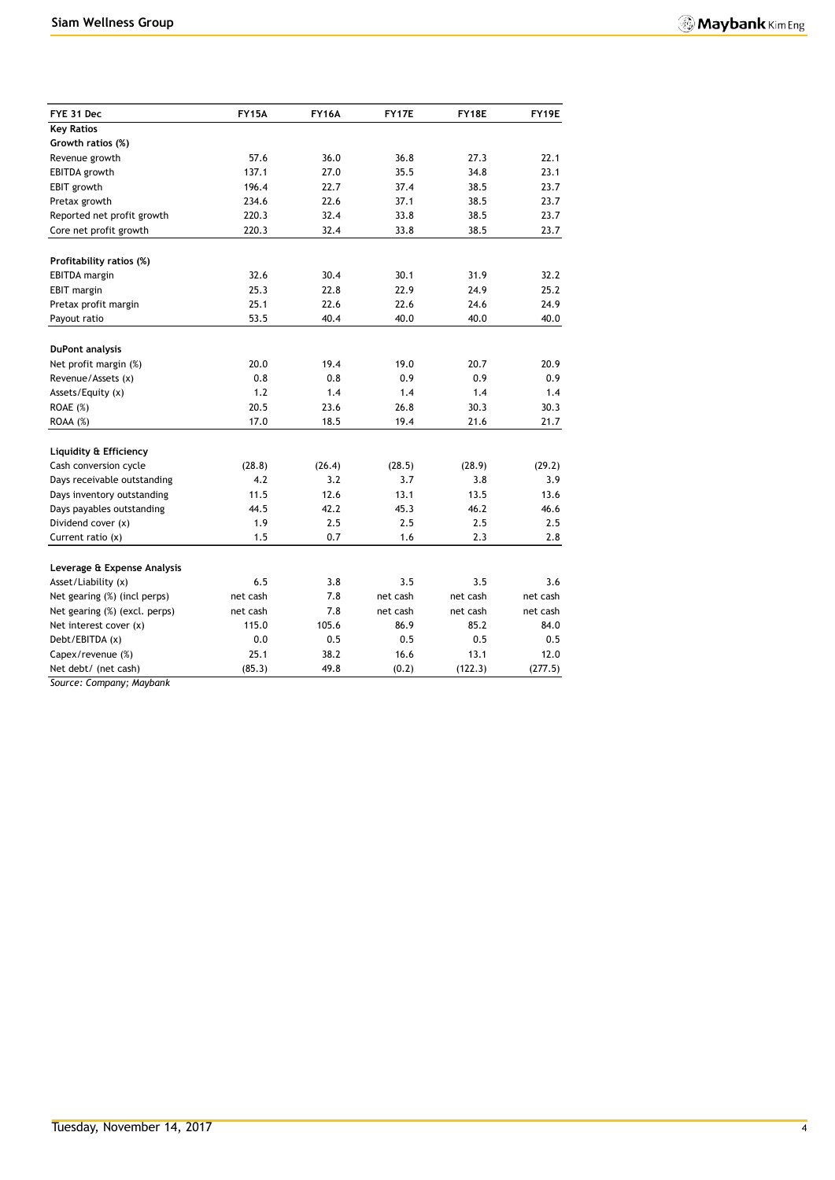| FYE 31 Dec                    | <b>FY15A</b> | <b>FY16A</b> | FY17E            | FY18E                | FY19E    |
|-------------------------------|--------------|--------------|------------------|----------------------|----------|
| <b>Key Ratios</b>             |              |              |                  |                      |          |
| Growth ratios (%)             |              |              |                  |                      |          |
| Revenue growth                | 57.6         | 36.0         | 36.8             | 27.3                 | 22.1     |
| <b>EBITDA</b> growth          | 137.1        | 27.0         | 35.5             | 34.8                 | 23.1     |
| EBIT growth                   | 196.4        | 22.7         | 37.4             | 38.5                 | 23.7     |
| Pretax growth                 | 234.6        | 22.6         | 37.1             | 38.5                 | 23.7     |
| Reported net profit growth    | 220.3        | 32.4         | 33.8             | 38.5                 | 23.7     |
| Core net profit growth        | 220.3        | 32.4         | 33.8             | 38.5                 | 23.7     |
|                               |              |              |                  |                      |          |
| Profitability ratios (%)      |              |              |                  |                      |          |
| <b>EBITDA</b> margin          | 32.6         | 30.4         | 30.1             | 31.9                 | 32.2     |
| <b>EBIT</b> margin            | 25.3         | 22.8         | 22.9             | 24.9                 | 25.2     |
| Pretax profit margin          | 25.1         | 22.6         | 22.6             | 24.6                 | 24.9     |
| Payout ratio                  | 53.5         | 40.4         | 40.0             | 40.0                 | 40.0     |
| <b>DuPont analysis</b>        |              |              |                  |                      |          |
| Net profit margin (%)         | 20.0         | 19.4         | 19.0             | 20.7                 | 20.9     |
| Revenue/Assets (x)            | 0.8          | 0.8          | 0.9              | 0.9                  | 0.9      |
| Assets/Equity (x)             | 1.2          | 1.4          | 1.4              | 1.4                  | 1.4      |
| ROAE (%)                      | 20.5         | 23.6         | 26.8             | 30.3                 | 30.3     |
| ROAA (%)                      | 17.0         | 18.5         | 19.4             | 21.6                 | 21.7     |
|                               |              |              |                  |                      |          |
| Liquidity & Efficiency        |              |              |                  |                      |          |
| Cash conversion cycle         | (28.8)       | (26.4)       | (28.5)           | (28.9)               | (29.2)   |
| Days receivable outstanding   | 4.2          | 3.2          | 3.7              | 3.8                  | 3.9      |
| Days inventory outstanding    | 11.5         | 12.6         | 13.1             | 13.5                 | 13.6     |
| Days payables outstanding     | 44.5         | 42.2         | 45.3             | 46.2                 | 46.6     |
| Dividend cover (x)            | 1.9          | 2.5          | 2.5              | 2.5                  | 2.5      |
| Current ratio (x)             | 1.5          | 0.7          | 1.6              | 2.3                  | 2.8      |
| Leverage & Expense Analysis   |              |              |                  |                      |          |
| Asset/Liability (x)           | 6.5          | 3.8          | 3.5              | 3.5                  | 3.6      |
|                               |              |              |                  |                      |          |
| Net gearing (%) (incl perps)  | net cash     | 7.8          | net cash         | net cash<br>net cash | net cash |
| Net gearing (%) (excl. perps) | net cash     | 7.8<br>105.6 | net cash<br>86.9 | 85.2                 | net cash |
| Net interest cover (x)        | 115.0        |              |                  |                      | 84.0     |
| Debt/EBITDA (x)               | 0.0          | 0.5          | 0.5              | 0.5                  | 0.5      |
| Capex/revenue (%)             | 25.1         | 38.2         | 16.6             | 13.1                 | 12.0     |
| Net debt/ (net cash)          | (85.3)       | 49.8         | (0.2)            | (122.3)              | (277.5)  |

*Source: Company; Maybank*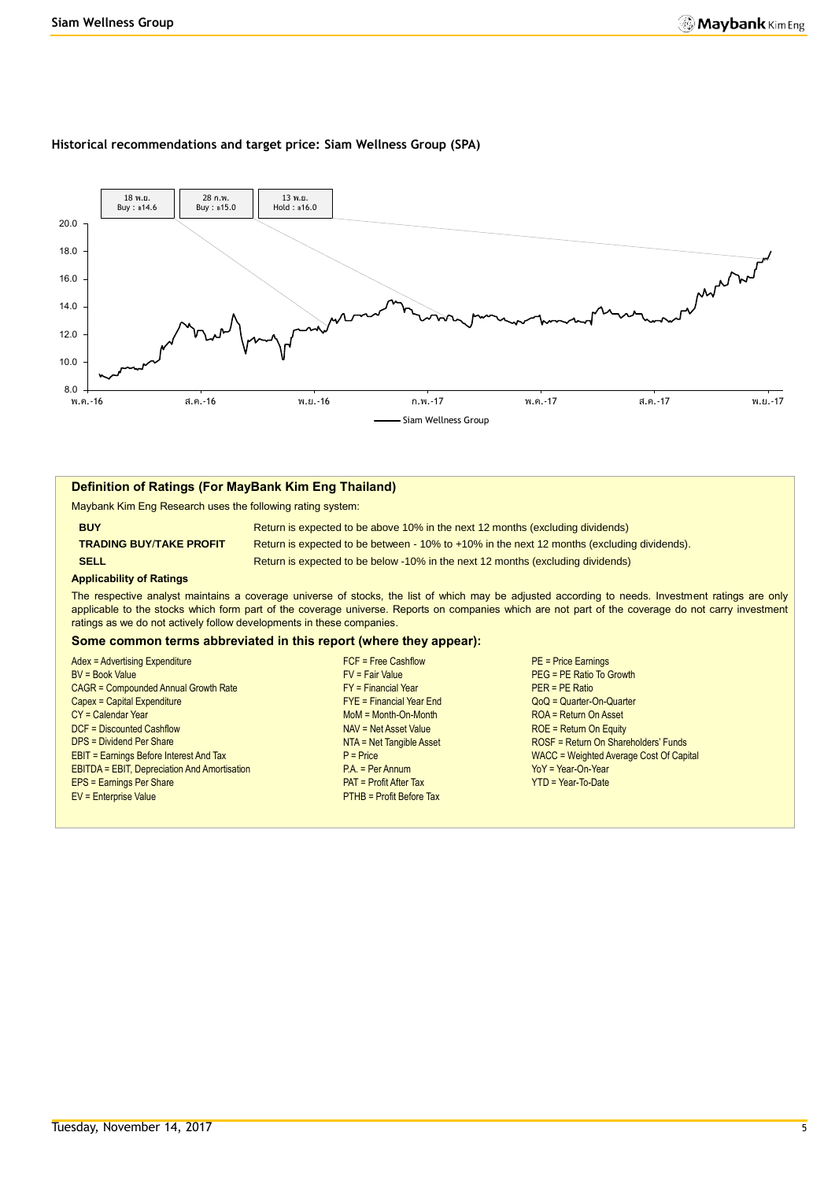#### **Historical recommendations and target price: Siam Wellness Group (SPA)**



#### **Definition of Ratings (For MayBank Kim Eng Thailand)**

Maybank Kim Eng Research uses the following rating system:

**BUY Return is expected to be above 10% in the next 12 months (excluding dividends) TRADING BUY**/**TAKE PROFIT** Return is expected to be between - 10% to +10% in the next 12 months (excluding dividends). **SELL Return is expected to be below -10% in the next 12 months (excluding dividends)** 

#### **Applicability of Ratings**

The respective analyst maintains a coverage universe of stocks, the list of which may be adjusted according to needs. Investment ratings are only applicable to the stocks which form part of the coverage universe. Reports on companies which are not part of the coverage do not carry investment ratings as we do not actively follow developments in these companies.

#### **Some common terms abbreviated in this report (where they appear):**

|                                                     | $FCF = Free Cashflow$           |                                         |
|-----------------------------------------------------|---------------------------------|-----------------------------------------|
| <b>Adex = Advertising Expenditure</b>               |                                 | $PE = Price Eamings$                    |
| <b>BV = Book Value</b>                              | $FV = Fair Value$               | PEG = PE Ratio To Growth                |
| <b>CAGR = Compounded Annual Growth Rate</b>         | $FY = Financial Year$           | $PER = PE Ratio$                        |
| Capex = Capital Expenditure                         | $FYE = Financial Year$ End      | $QoQ =$ Quarter-On-Quarter              |
| $CY =$ Calendar Year                                | $M \circ M = M \circ h$ -Month  | ROA = Return On Asset                   |
| DCF = Discounted Cashflow                           | NAV = Net Asset Value           | $ROE = Return On Equity$                |
| <b>DPS = Dividend Per Share</b>                     | NTA = Net Tangible Asset        | ROSF = Return On Shareholders' Funds    |
| <b>EBIT = Earnings Before Interest And Tax</b>      | $P = Price$                     | WACC = Weighted Average Cost Of Capital |
| <b>EBITDA = EBIT, Depreciation And Amortisation</b> | $PA. = Per Annum$               | $YoY = Year-On-Year$                    |
| <b>EPS = Earnings Per Share</b>                     | $PAT = Profit After Tax$        | $YTD = Year-To-Date$                    |
| <b>EV = Enterprise Value</b>                        | <b>PTHB = Profit Before Tax</b> |                                         |
|                                                     |                                 |                                         |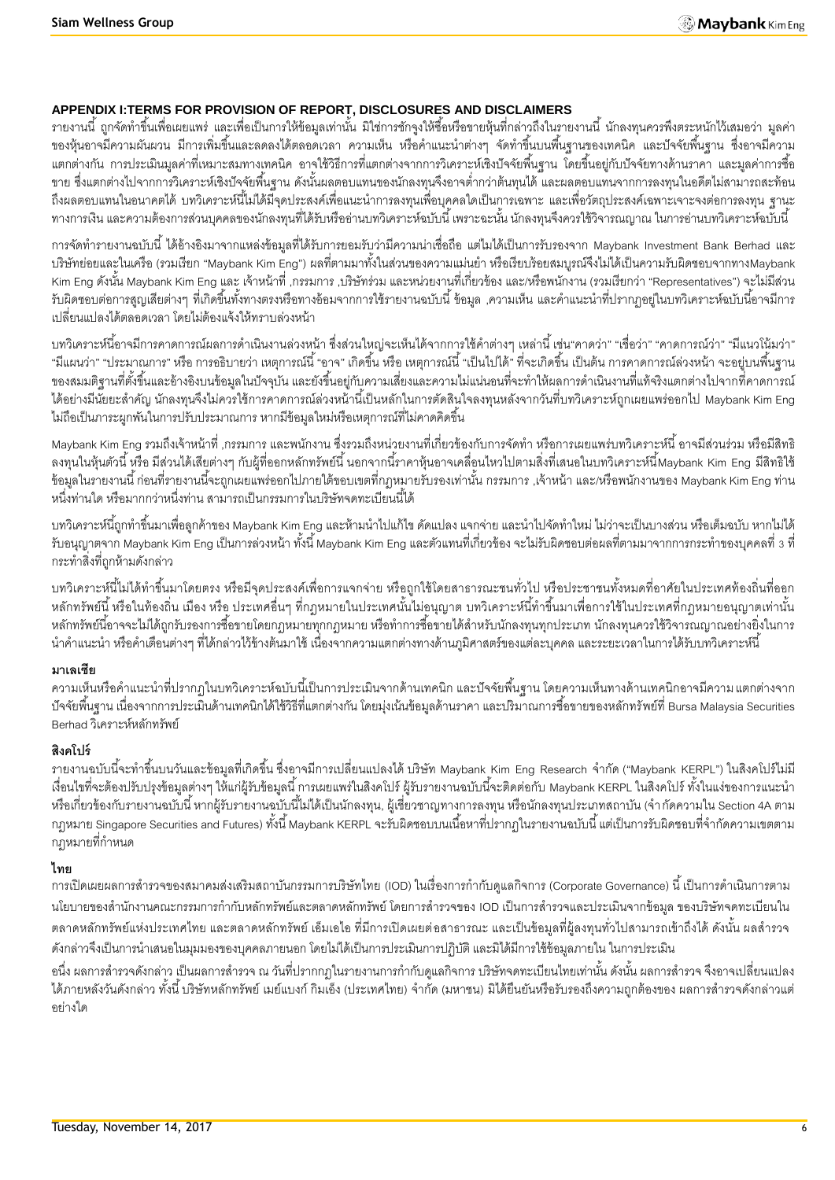# **APPENDIX I:TERMS FOR PROVISION OF REPORT, DISCLOSURES AND DISCLAIMERS**

้ รายงานนี้ ถูกจัดทำขึ้นเพื่อเผยแพร่ และเพื่อเป็นการให้ข้อมูลเท่านั้น มิใช่การชักจูงให้ซื้อหรือขายหุ้นที่กล่าวถึงในรายงานนี้ นักลงทุนควรพึงตระหนักไว้เสมอว่า มูลค่า ี ของหุ้นอาจมีความผันผวน มีการเพิ่มขึ้นและลดลงได้ตลอดเวลา ความเห็น หรือคำแนะนำต่างๆ จัดทำขึ้นบนพื้นฐานของเทคนิค และปัจจัยพื้นฐาน ซึ่งอาจมีความ ้ แตกต่างกัน การประเมินมูลค่าที่เหมาะสมทางเทคนิค อาจใช้วิธีการที่แตกต่างจากการวิเคราะห์เชิงปัจจัยพื้นฐาน โดยขึ้นอยู่กับปัจจัยทางด้านราคา และมูลค่าการซื้อ ่ ขาย ซึ่งแตกต่างไปจากการวิเคราะห์เชิงปัจจัยพื้นฐาน ดังนั้นผลตอบแทนของนักลงทุนจึงอาจต่ำกว่าต้นทุนได้ และผลตอบแทนจากการลงทุนในอดีตไม่สามารถสะท้อน ถึงผลตอบแทนในอนาคตได้ บทวิเคราะห์นี้ไม่ได้มีจุดประสงค์เพื่อแนะนำการลงทุนเพื่อบุคคลใดเป็นการเฉพาะ และเพื่อวัตถุประสงค์เฉพาะเจาะจงต่อการลงทุน ฐานะ ้ทางการเงิน และความต้องการส่วนบุคคลของนักลงทุนที่ได้รับหรืออ่านบทวิเคราะห์ฉบับนี้ เพราะฉะนั้น นักลงทุนจึงควรใช้วิจารณญาณ ในการอ่านบทวิเคราะห์ฉบับนี้

การจัดทำรายงานฉบับนี้ ได้อ้างอิงมาจากแหล่งข้อมูลที่ได้รับการยอมรับว่ามีความน่าเชื่อถือ แต่ไมได้เป็นการรับรองจาก Maybank Investment Bank Berhad และ บริษัทย่อยและในเครือ (รวมเรียก "Maybank Kim Eng") ผลที่ตามมาทั้งในส่วนของความแม่นยำ หรือเรียบร้อยสมบูรณ์จึงไม่ได้เป็นความรับผิดชอบจากทางMaybank Kim Eng ดังนั้น Maybank Kim Eng และ เจ้าหน้าที่ ,กรรมการ ,บริษัทร่วม และหน่วยงานที่เกี่ยวข้อง และ/หรือพนักงาน (รวมเรียกว่า "Representatives") จะไม่มีส่วน ้ รับผิดชอบต่อการสูญเสียต่างๆ ที่เกิดขึ้นทั้งทางตรงหรือทางอ้อมจากการใช้รายงานฉบับนี้ ข้อมูล ,ความเห็น และคำแนะนำที่ปรากฦอยู่ในบทวิเคราะห์ฉบับนี้อาจมีการ เปลี่ยนแปลงได้ตลอดเวลา โดยไม่ต้องแจ้งให้ทราบล่วงหน้า

้บทวิเคราะห์นี้อาจมีการคาดการณ์ผลการดำเนินงานล่วงหน้า ซึ่งส่วนใหญ่จะเห็นได้จากการใช้คำต่างๆ เหล่านี้ เช่น"คาดว่า" "เชื่อว่า" "คาดการณ์ว่า" "มีแนวโน้มว่า" "มีแผนว่า" "ประมาณการ" หรือ การอธิบายว่า เหตุการณ์นี้ "อาจ" เกิดขึ้น หรือ เหตุการณ์นี้ "เป็นไปได้" ที่จะเกิดขึ้น เป็นต้น การคาดการณ์ล่วงหน้า จะอยู่บนพื้นฐาน ของสมมติฐานที่ตั้งขึ้นและอ้างอิงบนข้อมูลในปัจจุบัน และยังขึ้นอยู่กับความเสี่ยงและความไม่แน่นอนที่จะทำให้ผลการดำเนินงานที่แท้จริงแตกต่างไปจากที่คาดการณ์ ี ได้อย่างมีนัยยะสำคัญ นักลงทุนจึงไม่ควรใช้การคาดการณ์ล่วงหน้านี้เป็นหลักในการตัดสินใจลงทุนหลังจากวันที่บทวิเคราะห์ถูกเผยแพร่ออกไป Maybank Kim Eng ไม่ถือเป็นภาระผูกพันในการปรับประมาณการ หากมีข้อมูลใหม่หรือเหตุการณ์ที่ไม่คาดคิดขึ้น

Maybank Kim Eng รวมถึงเจ้าหน้าที่ ,กรรมการ และพนักงาน ซึ่งรวมถึงหน่วยงานที่เกี่ยวข้องกับการจัดทำ หรือการเผยแพร่บทวิเคราะห์นี้ อาจมีส่วนร่วม หรือมีสิทธิ ิ ลงทุนในหุ้นตัวนี้ หรือ มีส่วนได้เสียต่างๆ กับผู้ที่ออกหลักทรัพย์นี้ นอกจากนี้ราคาหุ้นอาจเคลื่อนไหวไปตามสิ่งที่เสนอในบทวิเคราะห์นี้Maybank Kim Eng มีสิทธิใช้ -ข้อมูลในรายงานนี้ ก่อนที่รายงานนี้จะถูกเผยแพร่ออกไปภายใต้ขอบเขตที่กฎหมายรับรองเท่านั้น กรรมการ ,เจ้าหน้า และ/หรือพนักงานของ Maybank Kim Eng ท่าน หนึ่งท่านใด หรือมากกว่าหนึ่งท่าน สามารถเป็นกรรมการในบริษัทจดทะเบียนนี้ได้

ี บทวิเคราะห์นี้ถูกทำขึ้นมาเพื่อลูกค้าของ Maybank Kim Eng และห้ามนำไปแก้ไข ดัดแปลง แจกจ่าย และนำไปจัดทำใหม่ ไม่ว่าจะเป็นบางส่วน หรือเต็มฉบับ หากไม่ได้ รับอนุญาตจาก Maybank Kim Eng เป็นการล่วงหน้า ทั้งนี้ Maybank Kim Eng และตัวแทนที่เกี่ยวข้อง จะไม่รับผิดชอบต่อผลที่ตามมาจากการกระทำของบุคคลที่ 3 ที่ กระท าสิ่งที่ถูกห้ามดังกล่าว

บทวิเคราะห์นี้ไม่ได้ทำขึ้นมาโดยตรง หรือมีจุดประสงค์เพื่อการแจกจ่าย หรือถูกใช้โดยสาธารณะชนทั่วไป หรือประชาชนทั้งหมดที่อาศัยในประเทศท้องถิ่นที่ออก ่ หลักทรัพย์นี้ หรือในท้องถิ่น เมือง หรือ ประเทศอื่นๆ ที่กฎหมายในประเทศนั้นไม่อนุญาต บทวิเคราะห์นี้ทำขึ้นมาเพื่อการใช้ในประเทศที่กฎหมายอนุญาตเท่านั้น หลักทรัพย์นี้อาจจะไม่ได้ถูกรับรองการซื้อขายโดยกฎหมายทุกกฎหมาย หรือทำการซื้อขายได้สำหรับนักลงทุนทุกประเภท นักลงทุนควรใช้วิจารณญาณอย่างยิ่งในการ นำคำแนะนำ หรือคำเตือนต่างๆ ที่ได้กล่าวไว้ข้างต้นมาใช้ เนื่องจากความแตกต่างทางด้านภูมิศาสตร์ของแต่ละบุคคล และระยะเวลาในการได้รับบทวิเคราะห์นี้

#### **มาเลเซีย**

้ ความเห็นหรือคำแนะนำที่ปรากฏในบทวิเคราะห์ฉบับนี้เป็นการประเมินจากด้านเทคนิก และปัจจัยพื้นฐาน โดยความเห็นทางด้านเทคนิกอาจมีความ แตกต่างจาก -ปัจจัยพื้นฐาน เนื่องจากการประเมินด้านเทคนิกได้ใช้วิธีที่แตกต่างกัน โดยมุ่งเน้นข้อมูลด้านราคา และปริมาณการซื้อขายของหลักทรัพย์ที่ Bursa Malaysia Securities Berhad วิเคราะห์หลักทรัพย์

# **สิงคโปร์**

ิ รายงานฉบับนี้จะทำขึ้นบนวันและข้อมูลที่เกิดขึ้น ซึ่งอาจมีการเปลี่ยนแปลงได้ บริษัท Maybank Kim Eng Research จำกัด ("Maybank KERPL") ในสิงคโปร์ไม่มี เงื่อนไขที่จะต้องปรับปรุงข้อมูลต่างๆ ให้แก่ผู้รับข้อมูลนี้ การเผยแพร่ในสิงคโปร์ ผู้รับรายงานฉบับนี้จะติดต่อกับ Maybank KERPL ในสิงคโปร์ ทั้งในแง่ของการแนะนำ หรือเกี่ยวข้องกับรายงานฉบับนี้ หากผู้รับรายงานฉบับนี้ไม่ได้เป็นนักลงทุน, ผู้เชี่ยวชาญทางการลงทุน หรือนักลงทุนประเภทสถาบัน (จำกัดความใน Section 4A ตาม ึ กฎหมาย Singapore Securities and Futures) ทั้งนี้ Maybank KERPL จะรับผิดชอบบนเนื้อหาที่ปรากฏในรายงานฉบับนี้ แต่เป็นการรับผิดชอบที่จำกัดความเขตตาม ึกภหมายที่กำหน*ด* 

# **ไทย**

การเปิดเผยผลการสำรวจของสมาคมส่งเสริมสถาบันกรรมการบริษัทไทย (IOD) ในเรื่องการกำกับดูแลกิจการ (Corporate Governance) นี้ เป็นการดำเนินการตาม นโยบายของสำนักงานคณะกรรมการกำกับหลักทรัพย์และตลาดหลักทรัพย์ โดยการสำรวจของ IOD เป็นการสำรวจและประเมินจากข้อมูล ของบริษัทจดทะเบียนใน ้ตลาดหลักทรัพย์แห่งประเทศไทย และตลาดหลักทรัพย์ เอ็มเอไอ ที่มีการเปิดเผยต่อสาธารณะ และเป็นข้อมูลที่ผู้ลงทุนทั่วไปสามารถเข้าถึงได้ ดังนั้น ผลสำรวจ ดังกล่าวจึงเป็นการนำเสนอในมุมมองของบุคคลภายนอก โดยไม่ได้เป็นการประเมินการปฏิบัติ และมิได้มีการใช้ข้อมูลภายใน ในการประเมิน

่ อนึ่ง ผลการสำรวจดังกล่าว เป็นผลการสำรวจ ณ วันที่ปรากกฎในรายงานการกำกับดูแลกิจการ บริษัทจดทะเบียนไทยเท่านั้น ดังนั้น ผลการสำรวจ จึงอาจเปลี่ยนแปลง ได้ภายหลังวันดังกล่าว ทั้งนี้ บริษัทหลักทรัพย์ เมย์แบงก์ กิมเอ็ง (ประเทศไทย) จำกัด (มหาชน) มิได้ยืนยันหรือรับรองถึงความถูกต้องของ ผลการสำรวจดังกล่าวแต่ อย่างใด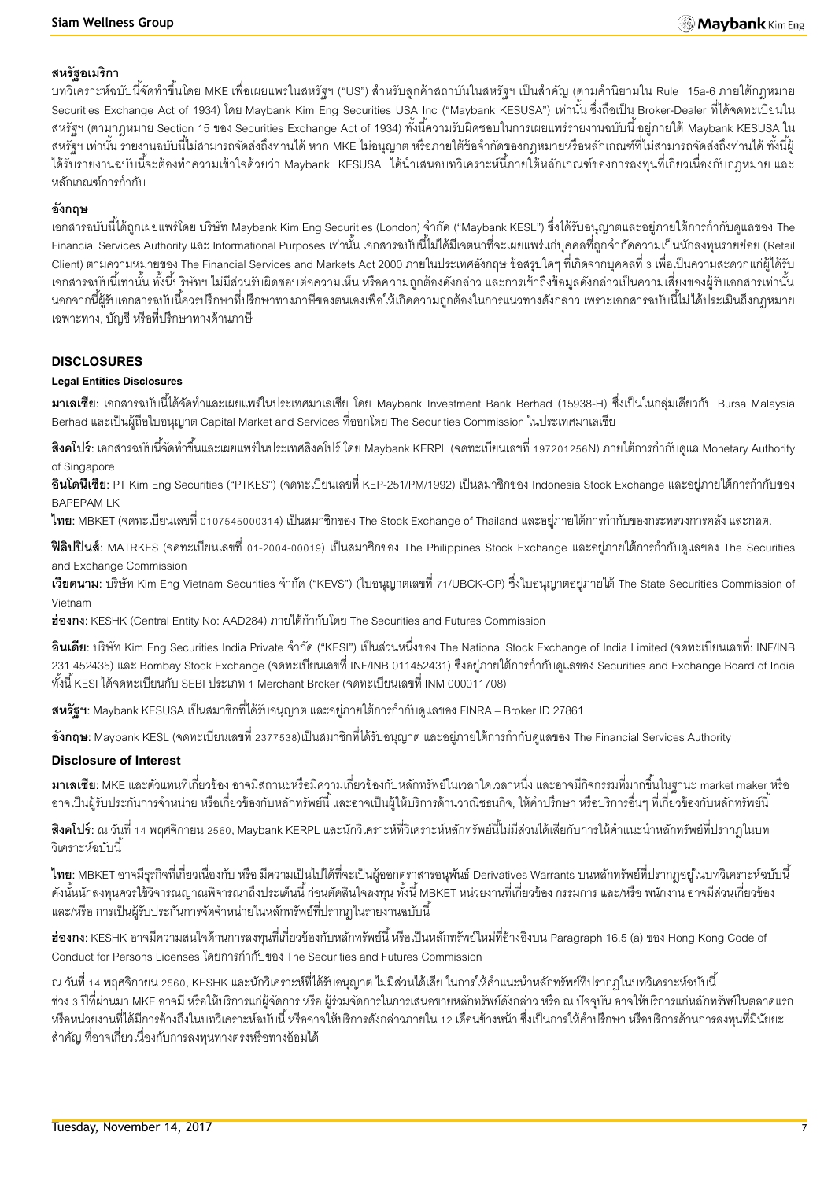#### **สหรัฐอเมริกา**

ี บทวิเคราะห์ฉบับนี้จัดทำขึ้นโดย MKE เพื่อเผยแพร่ในสหรัฐฯ ("US") สำหรับลูกค้าสถาบันในสหรัฐฯ เป็นสำคัญ (ตามคำนิยามใน Rule 15a-6 ภายใต้กฎหมาย Securities Exchange Act of 1934) โดย Maybank Kim Eng Securities USA Inc ("Maybank KESUSA") เท่านั้น ซึ่งถือเป็น Broker-Dealer ที่ได้จดทะเบียนใน สหรัฐฯ (ตามกฎหมาย Section 15 ของ Securities Exchange Act of 1934) ทั้งนี้ความรับผิดชอบในการเผยแพร่รายงานฉบับนี้ อยู่ภายใต้ Maybank KESUSA ใน ี สหรัฐฯ เท่านั้น รายงานฉบับนี้ไม่สามารถจัดส่งถึงท่านได้ หาก MKE ไม่อนุญาต หรือภายใต้ข้อจำกัดของกฎหมายหรือหลักเกณฑ์ที่ไม่สามารถจัดส่งถึงท่านได้ ทั้งนี้ผู้ ได้รับรายงานฉบับนี้จะต้องทำความเข้าใจด้วยว่า Maybank KESUSA ได้นำเสนอบทวิเคราะห์นี้ภายใต้หลักเกณฑ์ของการลงทุนที่เกี่ยวเนื่องกับกฎหมาย และ หลักเกณฑ์การกำกับ

#### **อังกฤษ**

ี เอกสารฉบับนี้ได้ถูกเผยแพร่โดย บริษัท Maybank Kim Eng Securities (London) จำกัด ("Maybank KESL") ซึ่งได้รับอนุญาตและอย่ภายใต้การกำกับดูแลของ The -Financial Services Authority และ Informational Purposes เท่านั้น เอกสารฉบับนี้ไม่ได้มีเจตนาที่จะเผยแพร่แก่บุคคลที่ถูกจำกัดความเป็นนักลงทุนรายย่อย (Retail Client) ตามความหมายของ The Financial Services and Markets Act 2000 ภายในประเทศอังกฤษ ข้อสรุปใดๆ ที่เกิดจากบุคคลที่ 3 เพื่อเป็นความสะดวกแก่ผู้ได้รับ ้เอกสารฉบับนี้เท่านั้น ทั้งนี้บริษัทฯ ไม่มีส่วนรับผิดชอบต่อความเห็น หรือความถูกต้องดังกล่าว และการเข้าถึงข้อมูลดังกล่าวเป็นความเสี่ยงของผู้รับเอกสารเท่านั้น ้นอกจากนี้ผ้รับเอกสารฉบับนี้ควรปรึกษาที่ปรึกษาทางภาษีของตนเองเพื่อให้เกิดความถูกต้องในการแนวทางดังกล่าว เพราะเอกสารฉบับนี้ไม่ได้ประเมินถึงกฎหมาย เฉพาะทาง, บัญชี หรือที่ปรึกษาทางด้านภาษี

#### **DISCLOSURES**

#### **Legal Entities Disclosures**

**ิมาเลเซีย**: เอกสารฉบับนี้ได้จัดทำและเผยแพร่ในประเทศมาเลเซีย โดย Maybank Investment Bank Berhad (15938-H) ซึ่งเป็นในกลุ่มเดียวกับ Bursa Malaysia Berhad และเป็ นผู้ถือใบอนุญาต Capital Market and Services ที่ออกโดย The Securities Commission ในประเทศมาเลเซีย

**ี <b>สิงคโปร์**: เอกสารฉบับนี้จัดทำขึ้นและเผยแพร่ในประเทศสิงคโปร์ โดย Maybank KERPL (จดทะเบียนเลขที่ 197201256N) ภายใต้การกำกับดูแล Monetary Authority of Singapore

**้อินโดนีเซีย**: PT Kim Eng Securities ("PTKES") (จดทะเบียนเลขที่ KEP-251/PM/1992) เป็นสมาชิกของ Indonesia Stock Exchange และอย่ภายใต้การกำกับของ BAPEPAM LK

**ไทย**: MBKET (จดทะเบียนเลขที่ 0107545000314) เป็นสมาชิกของ The Stock Exchange of Thailand และอยู่ภายใต้การกำกับของกระทรวงการคลัง และกลต.

**ฟิลิปปินส์**: MATRKES (จดทะเบียนเลขที่ 01-2004-00019) เป็นสมาชิกของ The Philippines Stock Exchange และอยู่ภายใต้การกำกับดูแลของ The Securities and Exchange Commission

**เวียดนาม**: บริษัท Kim Eng Vietnam Securities จำกัด ("KEVS") (ใบอนุญาตเลขที่ 71/UBCK-GP) ซึ่งใบอนุญาตอยู่ภายใต้ The State Securities Commission of Vietnam

ี**ฮ่องกง**: KESHK (Central Entity No: AAD284) ภายใต้กำกับโดย The Securities and Futures Commission

**้อินเดีย**: บริษัท Kim Eng Securities India Private จำกัด ("KESI") เป็นส่วนหนึ่งของ The National Stock Exchange of India Limited (จดทะเบียนเลขที่: INF/INB ่ 231 452435) และ Bombay Stock Exchange (จดทะเบียนเลขที่ INF/INB 011452431) ซึ่งอยู่ภายใต้การกำกับดูแลของ Securities and Exchange Board of India ทั ้งนี ้ KESI ได้จดทะเบียนกับ SEBI ประเภท 1 Merchant Broker (จดทะเบียนเลขที่ INM 000011708)

**ิสหรัฐฯ:** Maybank KESUSA เป็นสมาชิกที่ได้รับอนุญาต และอยู่ภายใต้การกำกับดูแลของ FINRA – Broker ID 27861

**่ <b>อังกฤษ**: Maybank KESL (จดทะเบียนเลขที่ 2377538)เป็นสมาชิกที่ได้รับอนุญาต และอยู่ภายใต้การกำกับดูแลของ The Financial Services Authority

#### **Disclosure of Interest**

**มาเลเซีย:** MKE และตัวแทนที่เกี่ยวข้อง อาจมีสถานะหรือมีความเกี่ยวข้องกับหลักทรัพย์ในเวลาใดเวลาหนึ่ง และอาจมีกิจกรรมที่มากขึ ้นในฐานะ market maker หรือ ่ อาจเป็นผู้รับประกันการจำหน่าย หรือเกี่ยวข้องกับหลักทรัพย์นี้ และอาจเป็นผู้ให้บริการด้านวาณิชธนกิจ, ให้คำปรึกษา หรือบริการอื่นๆ ที่เกี่ยวข้องกับหลักทรัพย์นี้

**สิงคโปร์**: ณ วันที่ 14 พฤศจิกายน 2560, Maybank KERPL และนักวิเคราะห์ที่วิเคราะห์หลักทรัพย์นี้ไม่มีส่วนได้เสียกับการให้คำแนะนำหลักทรัพย์ที่ปรากภในบท .<br>วิเคราะห์ล<sub>บับ</sub>นี้

**ไทย**: MBKET อาจมีธุรกิจที่เกี่ยวเนื่องกับ หรือ มีความเป็นไปได้ที่จะเป็นผู้ออกตราสารอนุพันธ์ Derivatives Warrants บนหลักทรัพย์ที่ปรากฏอยู่ในบทวิเคราะห์ฉบับนี้ ดังนั้นนักลงทุนควรใช้วิจารณญาณพิจารณาถึงประเด็นนี้ ก่อนตัดสินใจลงทุน ทั้งนี้ MBKET หน่วยงานที่เกี่ยวข้อง กรรมการ และ/หรือ พนักงาน อาจมีส่วนเกี่ยวข้อง และ/หรือ การเป็นผู้รับประกันการจัดจำหน่ายในหลักทรัพย์ที่ปรากฏในรายงานฉบับนี้

**ฮ่องกง:** KESHK อาจมีความสนใจด้านการลงทุนที่เกี่ยวข้องกับหลักทรัพย์นี้ หรือเป็นหลักทรัพย์ใหม่ที่อ้างอิงบน Paragraph 16.5 (a) ของ Hong Kong Code of Conduct for Persons Licenses โดยการกำกับของ The Securities and Futures Commission

ณ วันที่ 14 พฤศจิกายน 2560, KESHK และนักวิเคราะห์ที่ได้รับอนุญาต ไม่มีส่วนได้เสีย ในการให้คำแนะนำหลักทรัพย์ที่ปรากฏในบทวิเคราะห์ฉบับนี้ ี ช่วง 3 ปีที่ผ่านมา MKE อาจมี หรือให้บริการแก่ผู้จัดการ หรือ ผู้ร่วมจัดการในการเสนอขายหลักทรัพย์ดังกล่าว หรือ ณ ปัจจุบัน อาจให้บริการแก่หลักทรัพย์ในตลาดแรก หรือหน่วยงานที่ได้มีการอ้างถึงในบทวิเคราะห์ฉบับนี้ หรืออาจให้บริการดังกล่าวภายใน 12 เดือนข้างหน้า ซึ่งเป็นการให้คำปรึกษา หรือบริการด้านการลงทุนที่มีนัยยะ ส าคัญ ที่อาจเกี่ยวเนื่องกับการลงทุนทางตรงหรือทางอ้อมได้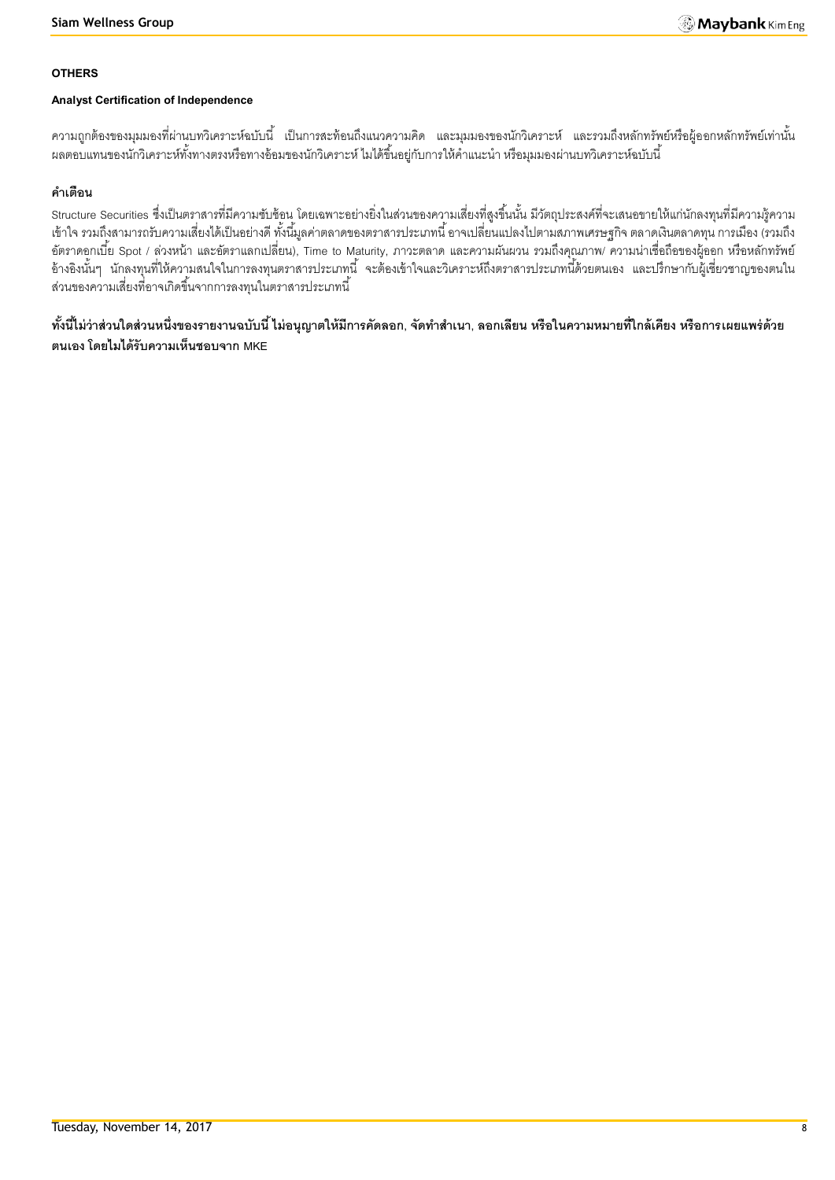#### **OTHERS**

#### **Analyst Certification of Independence**

้ ความถูกต้องของมุมมองที่ผ่านบทวิเคราะห์ฉบับนี้ เป็นการสะท้อนถึงแนวความคิด และมุมมองของนักวิเคราะห์ และรวมถึงหลักทรัพย์หรือผู้ออกหลักทรัพย์เท่านั้น ้ ผลตอบแทนของนักวิเคราะห์ทั้งทางตรงหรือทางอ้อมของนักวิเคราะห์ ไมได้ขึ้นอยู่กับการให้คำแนะนำ หรือมุมมองผ่านบทวิเคราะห์ฉบับนี้

## **ค าเตือน**

Structure Securities ซึ่งเป็นตราสารที่มีความซับซ้อน โดยเฉพาะอย่างยิ่งในส่วนของความเสี่ยงที่สูงขึ้นนั้น มีวัตถุประสงค์ที่จะเสนอขายให้แก่นักลงทุนที่มีความรู้ความ เข้าใจ รวมถึงสามารถรับความเสี่ยงได้เป็ นอย่างดี ทั ้งนี ้มูลค่าตลาดของตราสารประเภทนี ้ อาจเปลี่ยนแปลงไปตามสภาพเศรษฐกิจ ตลาดเงินตลาดทุน การเมือง (รวมถึง อัตราดอกเบี้ย Spot / ล่วงหน้า และอัตราแลกเปลี่ยน), Time to Maturity, ภาวะตลาด และความผันผวน รวมถึงคุณภาพ/ ความน่าเชื่อถือของผู้ออก หรือหลักทรัพย์ อ้างอิงนั้นๆ นักลงทุนที่ให้ความสนใจในการลงทุนตราสารประเภทนี้ จะต้องเข้าใจและวิเคราะห์ถึงตราสารประเภทนี้ด้วยตนเอง และปรึกษากับผู้เชี่ยวชาญของตนใน ส่วนของความเสี่ยงที่อาจเกิดขึ้นจากการลงทุนในตราสารประเภทนี้

ี ทั้งนี้ไม่ว่าส่วนใดส่วนหนึ่งของรายงานฉบับนี้ ไม่อนุญาตให้มีการคัดลอก, จัดทำสำเนา, ลอกเลียน หรือในความหมายที่ไกล้เคียง หรือการเผยแพร่ด้วย **ตนเอง โดยไมได้รับความเห็นชอบจาก MKE**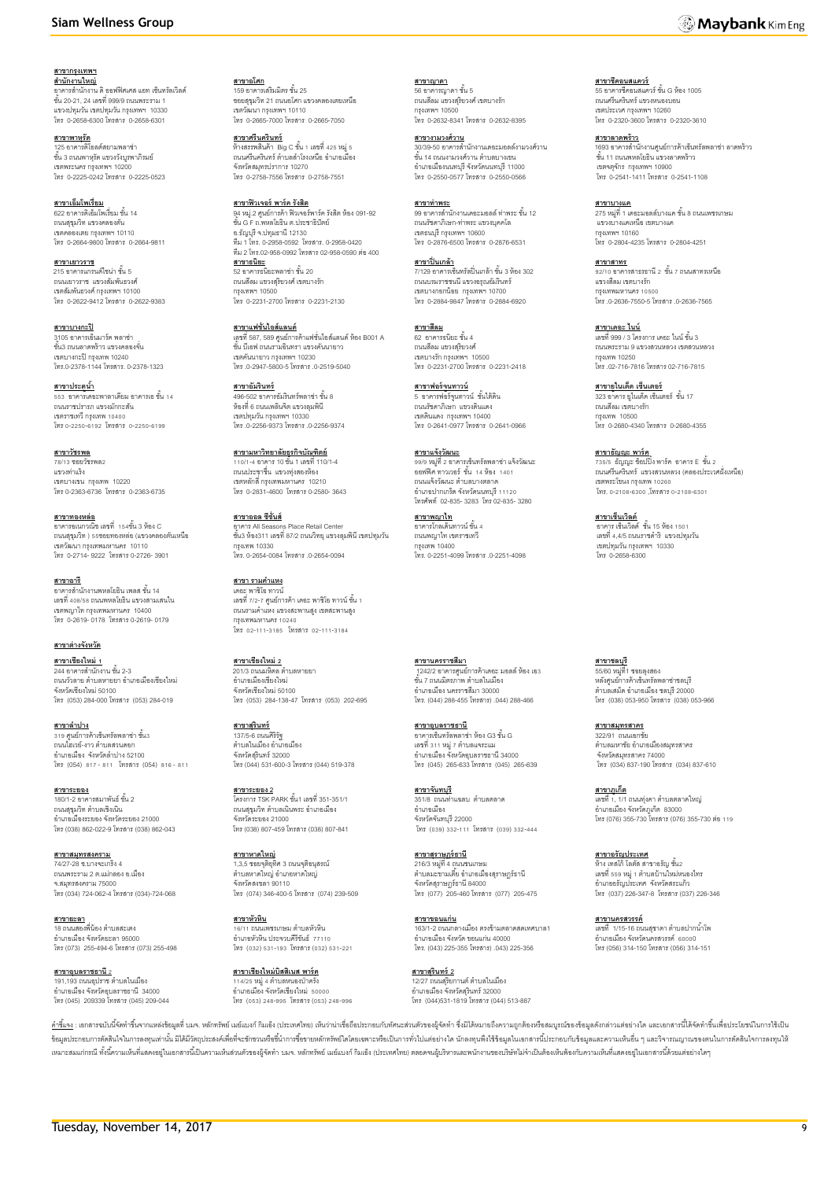**สาขากรุงเทพฯ** ี<u>สำ**นักงานใหญ่**<br>อาคารสำนักงาน ดิ ออฟฟิศเศส แอท เซ็นทรัลเวิลด์</u><br>ชั้น 20-21, 24 เลขที่ 999/9 ถนนพระราม 1 แขวงปทุมวัน เขตปทุมวัน กรุงเทพฯ 10330 โทร 0-2658-6300 โทรสาร 0-2658-6301

**สาขาพาหุรัด** 125 อาคารดิโอลด์สยามพลาซ่า<br>ชั้น 3 ถนนพาหุรัด แขวงวังบูรพาภิรมย์ เขตพระนคร กรุงเทพฯ 10200 โทร 0-2225-0242 โทรสาร 0-2225-0523

**สาขาเอ็มโพเรี่ยม**<br>622 อาคารดิเอ็มโพเรี่ยม ชั้น 14 ถนนสุขุมวิท แขวงคลองตัน เขตคลองเตย กรุงเทพฯ 10110 โทร 0-2664-9800 โทรสาร 0-2664-9811

<mark>สาขาเยาวราช</mark><br>215 อาคารแกรนด์ไซน่า ชั้น 5 ถนนเยาวราช แขวงสัมพันธวงศ์ เขตสัมพันธวงศ์ กรุงเทพฯ 10100 โทร 0-2622-9412 โทรสาร 0-2622-9383

**สาขาบางกะปิ** 3105 อาคารเอ็นมาร์ค พลาซ่า ชั ้น3 ถนนลาดพร้าว แขวงคลองจั่น เขตบางกะปิกรุงเทพ 10240 โทร.0-2378-1144 โทรสาร. 0-2378-1323

**สาขาประตูน้ำ** —<br>เดอะพาลาเดียม อาคารเอ ชั้น 14 ้ธรร ชาย เนตชนพาลาเดนม ชา<br>ถนนราชปรารภ แขวงมักกะสัน เขตราชเทวี กรุงเทพ 10400 โทร0-2250-6192 โทรสาร 0-2250-6199

**สาขาวัชรพล** 78/13 ซอยวัชรพล2 แขวงท่าแร้ง เขตบางเขน กรุงเทพ 10220 โทร 0-2363-6736 โทรสาร 0-2363-6735

**สาขาทองหล่อ** อาคารอเนกวณิช เลขที่ 154ชั ้น 3 ห้อง C ถนนสุขุมวิท ) 55ซอยทองหล่อ (แขวงคลองตันเหนือ เขตวัฒนา กรุงเทพมหานคร 10110 โทร 0-2714- 9222 โทรสาร 0-2726- 3901

**สาขาอารี** อาคารลำนักงานพหลโยธิน เพลส ชั้น 14<br>เลขที่ 408/58 ถนนพหลโยธิน แขวงสามเสนใน เขตพญาไท กรุงเทพมหานคร 10400 โทร 0-2619- 0178 โทรสาร 0-2619- 0179

**สาขาต่างจังหวัด สาขาเชียงใหม่ 1**

244 อาคารสำนักงาน ชั้น 2-3 ้<br>ถนนวัวลาย ตำบลหายยา อำเภอเมืองเชียงใหม่ จังหวัดเชียงใหม่ 50100 โทร (053) 284-000 โทรสาร (053) 284-019

**สาขาลำปาง** 319 <mark>ศูนย์การ</mark>ค้าเซ็นทรัลพลาซ่า ชั้น3 ถนนไฮเวย์-งาว ตำบลสวนดอก อำเภอเมือง จังหวัดลำปาง 52100 โทร (054) 817- 811 โทรสาร (054) 816- 811

**สาขาระยอง** 180/1-2 อาคารสมาพันธ์ ชั้น 2 ถนนสุขุมวิท ตำบลเชิงเนิน อ าเภอเมืองระยอง จังหวัดระยอง 21000 โทร (038) 862-022-9 โทรสาร (038) 862-043

**สาขาสมุทรสงคราม** 74/27-28 ซ.บางจะเกร็ง 4 ถนนพระราม 2 ต.แม่กลอง อ.เมือง จ.สมุทรสงคราม 75000 โทร (034) 724-062-4 โทรสาร (034)-724-068

**สาขายะลา**<br>18 ถนนสองพี่น้อง ตำบลสะเตง อ าเภอเมือง จังหวัดยะลา 95000 โทร (073) 255-494-6 โทรสาร (073) 255-498

**สาขาอบลราชธานี** 2 191,193 ถนนอุปราช ตำบลในเมือง<br>อำเภอเมือง จังหวัดอุบลราชธานี 34000 โทร (045) 209339 โทรสาร (045) 209-044

**สาขาอโศก**<br>159 อาคารเสริมมิตร ชั้น 25 ซอยสุขุมวิท 21 ถนนอโศก แขวงคลองเตยเหนือ เขตวัฒนา กรุงเทพฯ 10110 โทร 0-2665-7000 โทรสาร 0-2665-7050

**สาขาศรีนครินทร์** ห้างสรรพสินค้า Big C ชั้น 1 เลขที่ 425 หมู่ 5<br>ถนนศรีนครินทร์ ตำบลลำโรงเหนือ อำเภอเมือง จังหวัดสมุทรปราการ 10270 โทร 0-2758-7556 โทรสาร 0-2758-7551

**สาขาฟิวเจอร์ พาร์ค รังสิต**<br>94 หมู่.2 ศูนย์การค้า ฟิวเจอร์พาร์ค รังสิต ห้อง 091-92<br>ชั้น G F ถ.พหลโยธิน ต.ประชาธิปัตย์ อ.ธัญบุรีจ.ปทุมธานี 12130 ทีม 1 โทร. 0-2958-0592 โทรสาร. 0-2958-0420 ทีม 2 โทร.02-958-0992 โทรสาร 02-958-0590 ต่อ400 **สาขาธนิยะ**<br>52 อาคารธนิยะพลาซ่า ชั้น 20 ถนนสีลม แขวงสุริยวงศ์ เขตบางรัก กรุงเทพฯ 10500

**สาขาแฟชั่นไอส์แลนด์** เลขที่ 587, 589 ศูนย์การค้าแฟชั่นไอส์แลนด์ ห้อง B001 A<br>ชั้น บีเอฟ ถนนรามอินทรา แขวงคันนายาว เขตคันนายาว กรุงเทพฯ 10230 โทร .0-2947-5800-5 โทรสาร .0-2519-5040

โทร 0-2231-2700 โทรสาร 0-2231-2130

**สาขาอัมรินทร์** 496-502 อาคารอัมรินทร์พลาซ่า ชั้น 8<br>ห้องที่ 6 ถนนเพลินจิต แขวงลุมพินี เขตปทุมวัน กรุงเทพฯ 10330 โทร .0-2256-9373 โทรสาร .0-2256-9374

**สาขามหาวิทยาลัยธุรกิจบัณฑิตย์** 110/1-4 อาคาร 10 ชั ้น 1 เลขที่ 110/1-4 ถนนประชาชื่น แขวงทุ่งสองห้อง เขตหลักสี่ กรุงเทพมหานคร 10210 โทร 0-2831-4600 โทรสาร 0-2580- 3643

**สาขาออล ซีซั่นส์** อาคาร All Seasons Place Retail Center ชั ้น3 ห้อง311 เลขที่87/2 ถนนวิทยุแขวงลุมพินีเขตปทุมวัน กรุงเทพ 10330 โทร. 0-2654-0084 โทรสาร .0-2654-0094

**สาขา รามค าแหง** เดอะ พาซิโอ ทาวน์ เลขที่ 7/2-7 ศูนย์การค้า เดอะ พาซิโอ ทาวน์ ชั้น 1<br>ถนนรามคำแหง แขวงสะพานสูง เขตสะพานสูง กรุงเทพมหานคร 10240 โทร 02-111-3185 โทรสาร 02-111-3184

**สาขาเชียงใหม่ 2** 201/3 ถนนมหิดล ตำบลหายยา อ าเภอเมืองเชียงใหม่ จังหวัดเชียงใหม่ 50100 โทร (053) 284-138-47 โทรสาร (053) 202-695

**สาขาสุรินทร์** 137/5-6 ถนนศิริรัฐ<br>ตำบลในเมือง อำเภอเมือง จังหวัดสุรินทร์ 32000 โทร (044) 531-600-3 โทรสาร (044) 519-378

**สาขาระยอง 2** โครงการ TSK PARK ชั ้น1 เลขที่ 351-351/1 ถนนสุขุมวิท ตำบลเนินพระ อำเภอเมือง<br>จังหวัดระยอง 21000 โทร (038) 807-459 โทรสาร (038) 807-841

**สาขาหาดใหญ่**  1,3,5 ซอยจุติอุทิศ 3 ถนนจุติอนุสรณ์<br>ตำบลหาดใหญ่ อำเภอหาดใหญ่ จังหวัดสงขลา 90110 โทร (074) 346-400-5 โทรสาร (074) 239-509

**สาขาหัวหิน** <u>-12 กรรกะ</u><br>6/11 ถนนเพชรเกษม ตำบลหัวหิน อ าเภอหัวหิน ประจวบคีรีขันธ์ 77110 โทร (032) 531-193 โทรสาร (032) 531-221

**สาขาเชียงใหม่บิสสิเนส พาร์ค** 114/25 หมู่ 4 ตำบลหนองป่าครั่ง<br>อำเภอเมือง จังหวัดเชียงใหม่ 50000 โทร (053) 248-995 โทรสาร (053) 248-996

<mark>สาขาญาดา</mark><br>56 อาคารญาดา ชั้น 5 ถนนสีลม แขวงสุริยวงศ์ เขตบางรัก กรุงเทพฯ 10500 โทร 0-2632-8341 โทรสาร 0-2632-8395

**สาขางามวงศ์วาน** 30/39-50 อาคารสำนักงานเดอะมอลล์งามวงศ์วาน<br>ขั้น 14 ถนนงามวงศ์วาน ตำบลบางเขน อ าเภอเมืองนนทบุรี จังหวัดนนทบุรี 11000 โทร 0-2550-0577 โทรสาร 0-2550-0566

**สาขาท่าพระ**<br>99 อาคารลำนักงานเดอะมอลล์ ท่าพระ ชั้น 12 ถนนรัชดาภิเษก-ท่าพระ แขวงบุคคโล เขตธนบุรี กรุงเทพฯ 10600 โทร 0-2876-6500 โทรสาร 0-2876-6531

**สาขาปิ่ นเกล้า** ี่<mark>น 1.5 1.5 แถน 1.</mark><br>7/129 อาคารเซ็นทรัลปิ่นเกล้า ชั้น 3 ห้อง 302 ถนนบรมราชชนนี แขวงอรุณอัมรินทร์ เขตบางกอกน้อย กรุงเทพฯ 10700 โทร 0-2884-9847 โทรสาร 0-2884-6920

**สาขาสีลม** 62 อาคารธนิยะ ชั ้น 4 ถนนสีลม แขวงสุริยวงศ์ เขตบางรัก กรุงเทพฯ 10500 โทร 0-2231-2700 โทรสาร 0-2231-2418

**สาขาฟอร์จนู ทาวน์** 5 อาคารฟอร์จูนทาวน์ ชั้นใต้ดิน<br>ถนนรัชดาภิเษก แขวงดินแดง เขตดินแดง กรุงเทพฯ 10400 โทร 0-2641-0977 โทรสาร 0-2641-0966

**สาขาแจ้งวัฒนะ** 99/9 หมู่ที่2อาคารเซ็นทรัลพลาซ่า แจ้งวัฒนะ ออฟฟิศ ทาวเวอร์ ชั้น 14 ห้อง 1401 ถนนแจ้งวัฒนะ ตำบลบางตลาด อ าเภอปากเกร็ด จังหวัดนนทบุรี 11120 โทรศัพท์ 02-835- 3283 โทร 02-835- 3280

**สาขาพญาไท** \_\_\_\_\_\_\_\_\_\_\_\_\_\_<br>ดาคารโกลเด้นทาวน์ ชั้น 4 ถนนพญาไท เขตราชเทวี กรุงเทพ 10400 โทร. 0-2251-4099 โทรสาร .0-2251-4098

**สาขานครราชสีมา** ี 1242/2 อาคารศูนย์การค้าเดอะ มอลล์ ห้อง เอ3<br>ชั้น 7 ถนนมิตรภาพ ตำบลในเมือง อ าเภอเมือง นครราชสีมา 30000 โทร. (044) 288-455 โทรสาร) .044) 288-466

**สาขาอุบลราชธานี** อาคารเซ็นทรัลพลาซ่า ห้อง G3 ชั ้น G ี่ เลขที่ 311 หมู่ 7 ตำบลแจระแม อ าเภอเมือง จังหวัดอุบลราชธานี 34000 โทร (045) 265-633 โทรสาร (045) 265-639

**สาขาจันทบุรี** 351/8 ถนนท่าแฉลบ ตำบลตลาด อ าเภอเมือง จังหวัดจันทบุรี 22000 โทร (039) 332-111 โทรสาร (039) 332-444

**สาขาสุราษฏร์ธานี** 216/3 หมู่ที่ 4 ถนนชนเกษม<br>ตำบลมะขามเตี๋ย อำเภอเมืองสุราษฎร์ธานี จังหวัดสราษภร์ธานี 84000 โทร (077) 205-460 โทรสาร (077) 205-475

**สาขาขอนแก่น** 163/1-2 ถนนกลางเมือง ตรงข้ามตลาดสดเทศบาล1 อ าเภอเมืองจังหวัด ขอนแก่น 40000 โทร. (043) 225-355 โทรสาร) .043) 225-356

**สาขาสุรินทร์ 2** 12/27 ถนนสุริยกานต์ ตำบลในเมือง<br>อำเภอเมือง จังหวัดสุรินทร์ 32000 โทร (044)531-1819 โทรสาร (044) 513-887

**สาขาชีคอนสแควร์**<br>55 อาคารซีคอนสแควร์ ชั้น G ห้อง 1005<br>ถนนศรีนครินทร์ แขวงหนองบอน เขตประเวศ กรุงเทพฯ 10260 โทร 0-2320-3600 โทรสาร 0-2320-3610

**สาขาลาดพร้าว** 1693 อาคารลำนักงานศูนย์การค้าเซ็นทรัลพลาซ่า ลาดพร้าว<br>ขั้น 11 ถนนพหลโยธิน แขวงลาดพร้าว เขตจตุจักร กรุงเทพฯ 10900 โทร 0-2541-1411 โทรสาร 0-2541-1108

**สาขาบางแค**<br>275 หมู่ที่ 1 เดอะมอลล์บางแค ชั้น 8 ถนนเพชรเกษม แขวงบางแคเหนือ เขตบางแค กรุงเทพฯ 10160 โทร 0-2804-4235 โทรสาร 0-2804-4251

**สาขาสาทร** <u>ี่มายามากะ</u><br>92/10 อาคารสาธรธานี 2 ชั้น 7 ถนนสาทรเหนือ แขวงสีลม เขตบางรัก กรุงเทพมหานคร 10500 โทร .0-2636-7550-5 โทรสาร .0-2636-7565

**สาขาเดอะ ไนน์** เลขที่ 999 / 3 โครงการ เดอะ ไนน์ ชั้น 3 ถนนพระราม 9 แขวงสวนหลวง เขตสวนหลวง กรุงเทพ 10250 โทร .02-716-7816 โทรสาร 02-716-7815

**สาขายูไนเต็ด เซ็นเตอร์** 323 อาคาร ยูไนเต็ด เซ็นเตอร์ ชั้น 17<br>ถนนสีลม เขตบางรัก กรุงเทพ 10500 โทร 0-2680-4340 โทรสาร 0-2680-4355

**สาขาธัญญ<u>ะ พาร์ค</u>**<br>735/5 ธัญญะ ช็อปปิ้ง พาร์ค อาคาร E ชั้น 2 ถนนศรีนครินทร์ แขวงสวนหลวง (คลองประเวศฝั่งเหนือ) เขตพระโขนง กรุงเทพ 10260 โทร. 0-2108-6300 ,โทรสาร 0-2108-6301

ี<u>สาขาเซ็นเวิลด์</u><br>อาคาร เซ็นเวิลด์ ชั้น 15 ห้อง 1501 เลขที่ 4,4/5 ถนนราชด าริ แขวงปทุมวัน เขตปทุมวัน กรุงเทพฯ 10330 โทร 0-2658-6300

**สาขาชลบุรี**  55/60 หมู่ที่1 ซอยลุงสอง หลังศูนย์การค้าเซ็นทรัลพลาซ่าชลบุรี ตำบลเสม็ด อำเภอเมือง ชลบุรี 20000 โทร (038) 053-950 โทรสาร (038) 053-966

**สาขาสมุทรสาคร** 322/91 ถนนเอกชัย<br>ตำบลมหาชัย อำเภอเมืองสมุทรสาคร จังหวัดสมุทรสาคร 74000 โทร (034) 837-190 โทรสาร (034) 837-610

**สาขาภูเก็ต** ี เลขที่ 1, 1/1 ถนนท่งคา ตำบลตลาดใหญ่ อำเภอเมือง จังหวัดภูเก็ต 83000<br>โทร (076) 355-730 โทรสาร (076) 355-730 ต่อ 119

**สาขาอรัญประเทศ** ห้าง เทสโก้ โลตัส สาขาอรัญ ชั้น2<br>เลขที่ 559 หมู่ 1 ตำบลบ้านใหม่หนองไทร อ าเภออรัญประเทศ จังหวัดสระแก้ว โทร (037) 226-347-8 โทรสาร (037) 226-346

**สาขานครสวรรค์**<br>เลขที่ 1/15-16 ถนนสุชาดา ตำบลปากน้ำโท อ าเภอเมือง จังหวัดนครสวรรค์ 60000 โทร (056) 314-150 โทรสาร (056) 314-151

<u>คำขึ้แจ</u>ง : เอกสารณับนี้จัดทำขึ้นจากแหล่งข้อมูลที่ บมจ. หลักทรัพย์ แข่แมกก์ กิแอ็ง (ประเทศไทย) เห็นว่าน่าเชื่อถือประกอบกับทัศนะส่วมตัวของผู้จัดทำ ซึ่งมิได้หมายถึงความถูกต้องหรือสมบูรณ์ของข้อมูลดังกล่าวแต่อย่างใด และเอกสา ข้อมูลประกอบการตัดสินใจในการลงทุนท่านั้น มิได้มีวัตถุประสงค์เพื่อที่จะจักชวนหรือข้าการซื้อบากหรือเป็นคนการที่เป็นต่อย่างใด นักลงทุนพึงใช้ข้อมูลในเอกสารนี้ประกอบกับข้อมูลและความเห็นอื่น ๆ และวิจารณญาณของตนในการตัดสินใจการล เหมาะสมแก่กรณีทั้งนี้ความเห็นที่แสดงอยในเอกสารนี้เป็นความเห็นส่วนคิวธองรู้จัดทำ บมจ. หลักทัพย์ แย่แบงก์ กินเอ้ง (ประเทศไทย) ตลอดจนผู้บริหาและพนักงานของบริษัทไม่จำเป็นต้องกันพ้องกับความเห็นที่แสดงอยู่ในเอกสารนี้ค้วยแต่อย่าง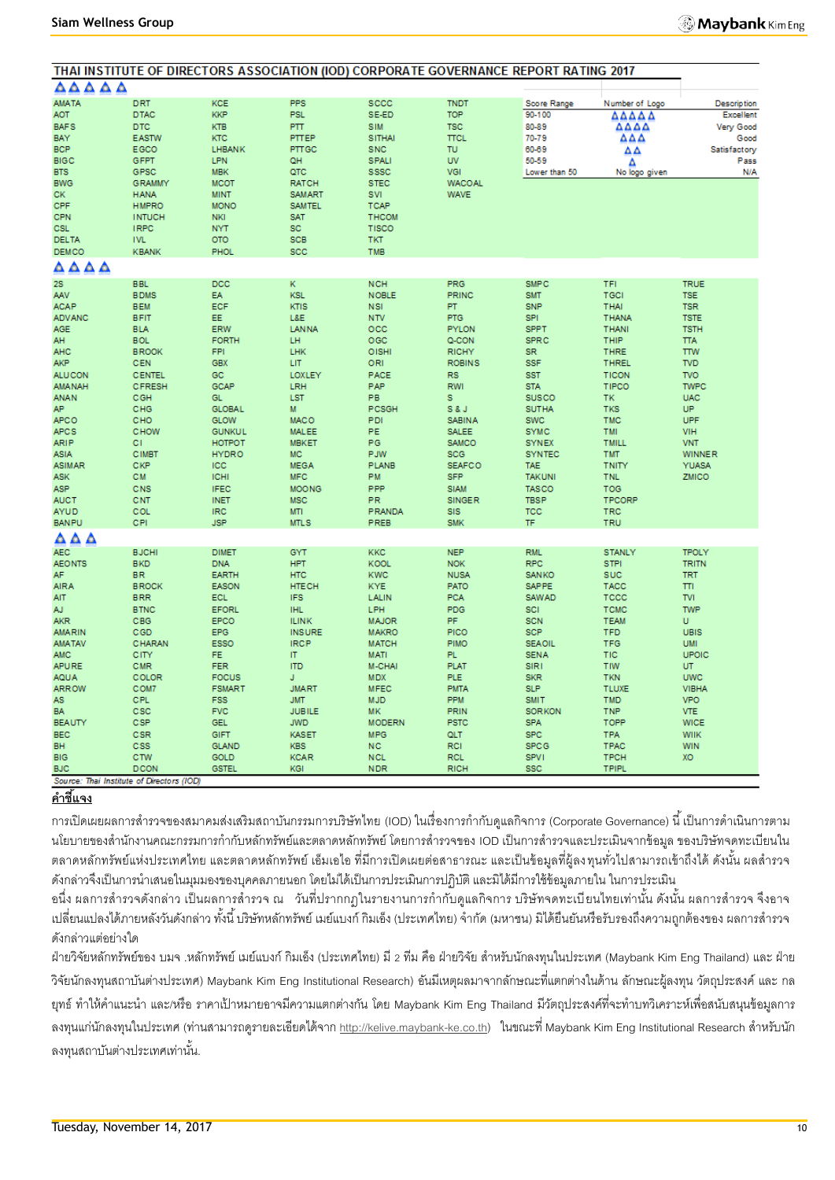| ۵۵۵۵۵<br><b>AMATA</b><br><b>DRT</b><br><b>KCE</b><br><b>PPS</b><br><b>SCCC</b><br><b>TNDT</b><br>Score Range<br>Number of Logo<br><b>KKP</b><br><b>AOT</b><br><b>DTAC</b><br><b>PSL</b><br>SE-ED<br><b>TOP</b><br>90-100<br>ΔΔΔΔΔ<br><b>BAFS</b><br><b>KTB</b><br><b>PTT</b><br><b>TSC</b><br>80-89<br><b>DTC</b><br><b>SIM</b><br>ΔΔΔΔ<br>PTTEP<br><b>SITHAI</b><br><b>TTCL</b><br>ΔΔΔ<br>BAY<br><b>EASTW</b><br><b>KTC</b><br>70-79<br><b>BCP</b><br>EGCO<br>LHBANK<br>PTTGC<br><b>SNC</b><br><b>TU</b><br>60-69<br>ΔΔ<br><b>BIGC</b><br>GFPT<br><b>LPN</b><br>QH<br><b>SPALI</b><br><b>UV</b><br>50-59<br>Δ<br><b>BTS</b><br>GPSC<br><b>MBK</b><br>QTC<br><b>SSSC</b><br>VGI<br>Lower than 50<br>No logo given<br><b>BWG</b><br><b>MCOT</b><br><b>RATCH</b><br><b>STEC</b><br><b>WACOAL</b><br><b>GRAMMY</b><br><b>WAVE</b><br>CK<br><b>MINT</b><br><b>SAMART</b><br>SVI<br><b>HANA</b><br>CPF<br><b>HMPRO</b><br><b>MONO</b><br><b>SAMTEL</b><br><b>TCAP</b><br><b>CPN</b><br><b>INTUCH</b><br><b>NKI</b><br><b>SAT</b><br><b>THCOM</b><br>SC<br><b>CSL</b><br><b>IRPC</b><br><b>NYT</b><br><b>TISCO</b><br><b>SCB</b><br><b>DELTA</b><br><b>IVL</b><br>OTO<br><b>TKT</b><br><b>DEMCO</b><br><b>KBANK</b><br><b>PHOL</b><br>SCC<br>TMB<br>$\triangle \triangle \triangle \triangle$<br><b>2S</b><br><b>BBL</b><br>DCC<br>ĸ<br><b>NCH</b><br><b>PRG</b><br><b>SMPC</b><br>TFI<br><b>TRUE</b><br><b>KSL</b><br>PRINC<br>TGCI<br><b>BDMS</b><br><b>EA</b><br><b>NOBLE</b><br><b>SMT</b><br><b>TSE</b><br>AAV<br>ECF<br>KTIS<br><b>TSR</b><br><b>ACAP</b><br><b>BEM</b><br><b>NSI</b><br>PT<br><b>SNP</b><br><b>THAI</b><br><b>ADVANC</b><br><b>BFIT</b><br>EE.<br>L&E<br><b>NTV</b><br><b>PTG</b><br><b>SPI</b><br><b>THANA</b><br><b>TSTE</b><br><b>AGE</b><br><b>BLA</b><br>ERW<br><b>LANNA</b><br>occ<br><b>PYLON</b><br><b>SPPT</b><br><b>THANI</b><br><b>TSTH</b><br>LH<br>OGC<br>AH<br><b>BOL</b><br><b>FORTH</b><br>Q-CON<br><b>SPRC</b><br>THIP<br><b>TTA</b><br><b>FPI</b><br>LHK<br>OISHI<br><b>AHC</b><br><b>BROOK</b><br><b>RICHY</b><br><b>SR</b><br><b>THRE</b><br><b>TTW</b><br><b>GBX</b><br><b>SSF</b><br><b>AKP</b><br><b>CEN</b><br>LIT<br>ORI<br><b>ROBINS</b><br><b>THREL</b><br><b>TVD</b> |                                 |
|-------------------------------------------------------------------------------------------------------------------------------------------------------------------------------------------------------------------------------------------------------------------------------------------------------------------------------------------------------------------------------------------------------------------------------------------------------------------------------------------------------------------------------------------------------------------------------------------------------------------------------------------------------------------------------------------------------------------------------------------------------------------------------------------------------------------------------------------------------------------------------------------------------------------------------------------------------------------------------------------------------------------------------------------------------------------------------------------------------------------------------------------------------------------------------------------------------------------------------------------------------------------------------------------------------------------------------------------------------------------------------------------------------------------------------------------------------------------------------------------------------------------------------------------------------------------------------------------------------------------------------------------------------------------------------------------------------------------------------------------------------------------------------------------------------------------------------------------------------------------------------------------------------------------------------------------------------------------------------------------------------------------------------------------------------------------------------------------------------------------------------------------------------------------------------------------------------------------|---------------------------------|
|                                                                                                                                                                                                                                                                                                                                                                                                                                                                                                                                                                                                                                                                                                                                                                                                                                                                                                                                                                                                                                                                                                                                                                                                                                                                                                                                                                                                                                                                                                                                                                                                                                                                                                                                                                                                                                                                                                                                                                                                                                                                                                                                                                                                                   |                                 |
|                                                                                                                                                                                                                                                                                                                                                                                                                                                                                                                                                                                                                                                                                                                                                                                                                                                                                                                                                                                                                                                                                                                                                                                                                                                                                                                                                                                                                                                                                                                                                                                                                                                                                                                                                                                                                                                                                                                                                                                                                                                                                                                                                                                                                   | <b>Description</b><br>Excellent |
|                                                                                                                                                                                                                                                                                                                                                                                                                                                                                                                                                                                                                                                                                                                                                                                                                                                                                                                                                                                                                                                                                                                                                                                                                                                                                                                                                                                                                                                                                                                                                                                                                                                                                                                                                                                                                                                                                                                                                                                                                                                                                                                                                                                                                   | Very Good<br>Good               |
|                                                                                                                                                                                                                                                                                                                                                                                                                                                                                                                                                                                                                                                                                                                                                                                                                                                                                                                                                                                                                                                                                                                                                                                                                                                                                                                                                                                                                                                                                                                                                                                                                                                                                                                                                                                                                                                                                                                                                                                                                                                                                                                                                                                                                   | Satisfactory<br>Pass            |
|                                                                                                                                                                                                                                                                                                                                                                                                                                                                                                                                                                                                                                                                                                                                                                                                                                                                                                                                                                                                                                                                                                                                                                                                                                                                                                                                                                                                                                                                                                                                                                                                                                                                                                                                                                                                                                                                                                                                                                                                                                                                                                                                                                                                                   | N/A                             |
|                                                                                                                                                                                                                                                                                                                                                                                                                                                                                                                                                                                                                                                                                                                                                                                                                                                                                                                                                                                                                                                                                                                                                                                                                                                                                                                                                                                                                                                                                                                                                                                                                                                                                                                                                                                                                                                                                                                                                                                                                                                                                                                                                                                                                   |                                 |
|                                                                                                                                                                                                                                                                                                                                                                                                                                                                                                                                                                                                                                                                                                                                                                                                                                                                                                                                                                                                                                                                                                                                                                                                                                                                                                                                                                                                                                                                                                                                                                                                                                                                                                                                                                                                                                                                                                                                                                                                                                                                                                                                                                                                                   |                                 |
|                                                                                                                                                                                                                                                                                                                                                                                                                                                                                                                                                                                                                                                                                                                                                                                                                                                                                                                                                                                                                                                                                                                                                                                                                                                                                                                                                                                                                                                                                                                                                                                                                                                                                                                                                                                                                                                                                                                                                                                                                                                                                                                                                                                                                   |                                 |
|                                                                                                                                                                                                                                                                                                                                                                                                                                                                                                                                                                                                                                                                                                                                                                                                                                                                                                                                                                                                                                                                                                                                                                                                                                                                                                                                                                                                                                                                                                                                                                                                                                                                                                                                                                                                                                                                                                                                                                                                                                                                                                                                                                                                                   |                                 |
|                                                                                                                                                                                                                                                                                                                                                                                                                                                                                                                                                                                                                                                                                                                                                                                                                                                                                                                                                                                                                                                                                                                                                                                                                                                                                                                                                                                                                                                                                                                                                                                                                                                                                                                                                                                                                                                                                                                                                                                                                                                                                                                                                                                                                   |                                 |
|                                                                                                                                                                                                                                                                                                                                                                                                                                                                                                                                                                                                                                                                                                                                                                                                                                                                                                                                                                                                                                                                                                                                                                                                                                                                                                                                                                                                                                                                                                                                                                                                                                                                                                                                                                                                                                                                                                                                                                                                                                                                                                                                                                                                                   |                                 |
|                                                                                                                                                                                                                                                                                                                                                                                                                                                                                                                                                                                                                                                                                                                                                                                                                                                                                                                                                                                                                                                                                                                                                                                                                                                                                                                                                                                                                                                                                                                                                                                                                                                                                                                                                                                                                                                                                                                                                                                                                                                                                                                                                                                                                   |                                 |
|                                                                                                                                                                                                                                                                                                                                                                                                                                                                                                                                                                                                                                                                                                                                                                                                                                                                                                                                                                                                                                                                                                                                                                                                                                                                                                                                                                                                                                                                                                                                                                                                                                                                                                                                                                                                                                                                                                                                                                                                                                                                                                                                                                                                                   |                                 |
|                                                                                                                                                                                                                                                                                                                                                                                                                                                                                                                                                                                                                                                                                                                                                                                                                                                                                                                                                                                                                                                                                                                                                                                                                                                                                                                                                                                                                                                                                                                                                                                                                                                                                                                                                                                                                                                                                                                                                                                                                                                                                                                                                                                                                   |                                 |
|                                                                                                                                                                                                                                                                                                                                                                                                                                                                                                                                                                                                                                                                                                                                                                                                                                                                                                                                                                                                                                                                                                                                                                                                                                                                                                                                                                                                                                                                                                                                                                                                                                                                                                                                                                                                                                                                                                                                                                                                                                                                                                                                                                                                                   |                                 |
|                                                                                                                                                                                                                                                                                                                                                                                                                                                                                                                                                                                                                                                                                                                                                                                                                                                                                                                                                                                                                                                                                                                                                                                                                                                                                                                                                                                                                                                                                                                                                                                                                                                                                                                                                                                                                                                                                                                                                                                                                                                                                                                                                                                                                   |                                 |
|                                                                                                                                                                                                                                                                                                                                                                                                                                                                                                                                                                                                                                                                                                                                                                                                                                                                                                                                                                                                                                                                                                                                                                                                                                                                                                                                                                                                                                                                                                                                                                                                                                                                                                                                                                                                                                                                                                                                                                                                                                                                                                                                                                                                                   |                                 |
|                                                                                                                                                                                                                                                                                                                                                                                                                                                                                                                                                                                                                                                                                                                                                                                                                                                                                                                                                                                                                                                                                                                                                                                                                                                                                                                                                                                                                                                                                                                                                                                                                                                                                                                                                                                                                                                                                                                                                                                                                                                                                                                                                                                                                   |                                 |
| <b>ALUCON</b><br><b>CENTEL</b><br><b>GC</b><br>LOXLEY<br>PACE<br><b>RS</b><br><b>SST</b><br><b>TICON</b><br><b>TVO</b>                                                                                                                                                                                                                                                                                                                                                                                                                                                                                                                                                                                                                                                                                                                                                                                                                                                                                                                                                                                                                                                                                                                                                                                                                                                                                                                                                                                                                                                                                                                                                                                                                                                                                                                                                                                                                                                                                                                                                                                                                                                                                            |                                 |
| <b>GCAP</b><br><b>AMANAH</b><br>CFRESH<br>LRH<br>PAP<br><b>RWI</b><br><b>STA</b><br>TIPCO<br><b>TWPC</b><br>PB<br>CGH<br>GL.<br><b>LST</b><br>s<br><b>SUSCO</b><br><b>TK</b><br><b>UAC</b>                                                                                                                                                                                                                                                                                                                                                                                                                                                                                                                                                                                                                                                                                                                                                                                                                                                                                                                                                                                                                                                                                                                                                                                                                                                                                                                                                                                                                                                                                                                                                                                                                                                                                                                                                                                                                                                                                                                                                                                                                        |                                 |
| <b>ANAN</b><br>AP.<br>M<br><b>UP</b><br>CHG<br><b>GLOBAL</b><br>PCSGH<br><b>S&amp;J</b><br><b>SUTHA</b><br><b>TKS</b>                                                                                                                                                                                                                                                                                                                                                                                                                                                                                                                                                                                                                                                                                                                                                                                                                                                                                                                                                                                                                                                                                                                                                                                                                                                                                                                                                                                                                                                                                                                                                                                                                                                                                                                                                                                                                                                                                                                                                                                                                                                                                             |                                 |
| <b>MACO</b><br>UPF<br><b>APCO</b><br>CHO<br><b>GLOW</b><br>PDI<br><b>SABINA</b><br>SWC<br><b>TMC</b>                                                                                                                                                                                                                                                                                                                                                                                                                                                                                                                                                                                                                                                                                                                                                                                                                                                                                                                                                                                                                                                                                                                                                                                                                                                                                                                                                                                                                                                                                                                                                                                                                                                                                                                                                                                                                                                                                                                                                                                                                                                                                                              |                                 |
| <b>APCS</b><br>CHOW<br><b>GUNKUL</b><br><b>MALEE</b><br>PE<br><b>SALEE</b><br><b>SYMC</b><br>TMI<br><b>VIH</b>                                                                                                                                                                                                                                                                                                                                                                                                                                                                                                                                                                                                                                                                                                                                                                                                                                                                                                                                                                                                                                                                                                                                                                                                                                                                                                                                                                                                                                                                                                                                                                                                                                                                                                                                                                                                                                                                                                                                                                                                                                                                                                    |                                 |
| <b>MBKET</b><br>PG<br>SAMCO<br><b>ARIP</b><br>C1<br><b>HOTPOT</b><br><b>SYNEX</b><br><b>TMILL</b><br><b>VNT</b><br><b>HYDRO</b><br><b>MC</b><br>PJW<br><b>CIMBT</b><br><b>SCG</b><br><b>SYNTEC</b><br><b>TMT</b><br><b>WINNER</b><br>ASIA                                                                                                                                                                                                                                                                                                                                                                                                                                                                                                                                                                                                                                                                                                                                                                                                                                                                                                                                                                                                                                                                                                                                                                                                                                                                                                                                                                                                                                                                                                                                                                                                                                                                                                                                                                                                                                                                                                                                                                         |                                 |
| CKP<br><b>ASIMAR</b><br><b>ICC</b><br><b>MEGA</b><br><b>PLANB</b><br><b>SEAFCO</b><br><b>TAE</b><br><b>TNITY</b><br><b>YUASA</b>                                                                                                                                                                                                                                                                                                                                                                                                                                                                                                                                                                                                                                                                                                                                                                                                                                                                                                                                                                                                                                                                                                                                                                                                                                                                                                                                                                                                                                                                                                                                                                                                                                                                                                                                                                                                                                                                                                                                                                                                                                                                                  |                                 |
| <b>ASK</b><br><b>CM</b><br><b>ICHI</b><br><b>MFC</b><br><b>PM</b><br><b>SFP</b><br><b>TAKUNI</b><br><b>TNL</b><br>ZMICO                                                                                                                                                                                                                                                                                                                                                                                                                                                                                                                                                                                                                                                                                                                                                                                                                                                                                                                                                                                                                                                                                                                                                                                                                                                                                                                                                                                                                                                                                                                                                                                                                                                                                                                                                                                                                                                                                                                                                                                                                                                                                           |                                 |
| <b>ASP</b><br>CNS<br><b>IFEC</b><br><b>MOONG</b><br>PPP<br><b>SIAM</b><br><b>TASCO</b><br><b>TOG</b>                                                                                                                                                                                                                                                                                                                                                                                                                                                                                                                                                                                                                                                                                                                                                                                                                                                                                                                                                                                                                                                                                                                                                                                                                                                                                                                                                                                                                                                                                                                                                                                                                                                                                                                                                                                                                                                                                                                                                                                                                                                                                                              |                                 |
| <b>AUCT</b><br>CNT<br><b>MSC</b><br><b>PR</b><br><b>SINGER</b><br><b>TBSP</b><br><b>TPCORP</b><br><b>INET</b><br><b>AYUD</b><br>COL<br><b>IRC</b><br><b>MTI</b><br>PRANDA<br><b>SIS</b><br><b>TCC</b><br><b>TRC</b>                                                                                                                                                                                                                                                                                                                                                                                                                                                                                                                                                                                                                                                                                                                                                                                                                                                                                                                                                                                                                                                                                                                                                                                                                                                                                                                                                                                                                                                                                                                                                                                                                                                                                                                                                                                                                                                                                                                                                                                               |                                 |
| CPI<br><b>BANPU</b><br><b>JSP</b><br><b>MTLS</b><br>PREB<br><b>SMK</b><br>TF<br>TRU                                                                                                                                                                                                                                                                                                                                                                                                                                                                                                                                                                                                                                                                                                                                                                                                                                                                                                                                                                                                                                                                                                                                                                                                                                                                                                                                                                                                                                                                                                                                                                                                                                                                                                                                                                                                                                                                                                                                                                                                                                                                                                                               |                                 |
| AΔA                                                                                                                                                                                                                                                                                                                                                                                                                                                                                                                                                                                                                                                                                                                                                                                                                                                                                                                                                                                                                                                                                                                                                                                                                                                                                                                                                                                                                                                                                                                                                                                                                                                                                                                                                                                                                                                                                                                                                                                                                                                                                                                                                                                                               |                                 |
| <b>AEC</b><br><b>BJCHI</b><br><b>DIMET</b><br>GYT<br><b>KKC</b><br><b>NEP</b><br><b>RML</b><br><b>TPOLY</b><br><b>STANLY</b>                                                                                                                                                                                                                                                                                                                                                                                                                                                                                                                                                                                                                                                                                                                                                                                                                                                                                                                                                                                                                                                                                                                                                                                                                                                                                                                                                                                                                                                                                                                                                                                                                                                                                                                                                                                                                                                                                                                                                                                                                                                                                      |                                 |
| <b>AEONTS</b><br><b>BKD</b><br><b>DNA</b><br><b>HPT</b><br><b>KOOL</b><br><b>NOK</b><br><b>RPC</b><br><b>TRITN</b><br><b>STPI</b><br>AF.<br><b>EARTH</b><br><b>HTC</b><br><b>KWC</b><br><b>BR</b><br><b>NUSA</b><br><b>SANKO</b><br><b>SUC</b><br><b>TRT</b>                                                                                                                                                                                                                                                                                                                                                                                                                                                                                                                                                                                                                                                                                                                                                                                                                                                                                                                                                                                                                                                                                                                                                                                                                                                                                                                                                                                                                                                                                                                                                                                                                                                                                                                                                                                                                                                                                                                                                      |                                 |
| <b>AIRA</b><br><b>SAPPE</b><br><b>BROCK</b><br><b>EASON</b><br><b>HTECH</b><br><b>KYE</b><br><b>PATO</b><br><b>TACC</b><br>πı                                                                                                                                                                                                                                                                                                                                                                                                                                                                                                                                                                                                                                                                                                                                                                                                                                                                                                                                                                                                                                                                                                                                                                                                                                                                                                                                                                                                                                                                                                                                                                                                                                                                                                                                                                                                                                                                                                                                                                                                                                                                                     |                                 |
| <b>IFS</b><br>AIT<br><b>BRR</b><br><b>ECL</b><br>LALIN<br><b>PCA</b><br><b>TVI</b><br><b>SAWAD</b><br>TCCC                                                                                                                                                                                                                                                                                                                                                                                                                                                                                                                                                                                                                                                                                                                                                                                                                                                                                                                                                                                                                                                                                                                                                                                                                                                                                                                                                                                                                                                                                                                                                                                                                                                                                                                                                                                                                                                                                                                                                                                                                                                                                                        |                                 |
| AJ.<br><b>IHL</b><br>LPH<br>PDG<br><b>TWP</b><br><b>BTNC</b><br><b>EFORL</b><br>SCI<br><b>TCMC</b>                                                                                                                                                                                                                                                                                                                                                                                                                                                                                                                                                                                                                                                                                                                                                                                                                                                                                                                                                                                                                                                                                                                                                                                                                                                                                                                                                                                                                                                                                                                                                                                                                                                                                                                                                                                                                                                                                                                                                                                                                                                                                                                |                                 |
| CBG<br>EPCO<br><b>ILINK</b><br><b>MAJOR</b><br><b>PF</b><br><b>SCN</b><br>U<br><b>AKR</b><br><b>TEAM</b><br><b>INSURE</b><br><b>MAKRO</b><br>PICO<br>SCP<br><b>AMARIN</b><br>CGD<br><b>EPG</b><br><b>TFD</b><br><b>UBIS</b>                                                                                                                                                                                                                                                                                                                                                                                                                                                                                                                                                                                                                                                                                                                                                                                                                                                                                                                                                                                                                                                                                                                                                                                                                                                                                                                                                                                                                                                                                                                                                                                                                                                                                                                                                                                                                                                                                                                                                                                       |                                 |
| <b>IRCP</b><br><b>AMATAV</b><br>CHARAN<br><b>ESSO</b><br><b>MATCH</b><br><b>PIMO</b><br><b>SEAOIL</b><br><b>TFG</b><br><b>UMI</b>                                                                                                                                                                                                                                                                                                                                                                                                                                                                                                                                                                                                                                                                                                                                                                                                                                                                                                                                                                                                                                                                                                                                                                                                                                                                                                                                                                                                                                                                                                                                                                                                                                                                                                                                                                                                                                                                                                                                                                                                                                                                                 |                                 |
| <b>FE</b><br> T <br>PL.<br>UPOIC<br>AMC<br>CITY<br><b>MATI</b><br><b>SENA</b><br>TIC                                                                                                                                                                                                                                                                                                                                                                                                                                                                                                                                                                                                                                                                                                                                                                                                                                                                                                                                                                                                                                                                                                                                                                                                                                                                                                                                                                                                                                                                                                                                                                                                                                                                                                                                                                                                                                                                                                                                                                                                                                                                                                                              |                                 |
| <b>APURE</b><br>CMR<br><b>FER</b><br><b>ITD</b><br>M-CHAI<br><b>PLAT</b><br><b>SIRI</b><br>TIW<br>UT.                                                                                                                                                                                                                                                                                                                                                                                                                                                                                                                                                                                                                                                                                                                                                                                                                                                                                                                                                                                                                                                                                                                                                                                                                                                                                                                                                                                                                                                                                                                                                                                                                                                                                                                                                                                                                                                                                                                                                                                                                                                                                                             |                                 |
| COLOR<br><b>FOCUS</b><br>J.<br><b>MDX</b><br><b>PLE</b><br><b>SKR</b><br><b>TKN</b><br><b>UWC</b><br><b>AQUA</b><br><b>JMART</b><br><b>SLP</b><br><b>ARROW</b><br>COM7<br><b>FSMART</b><br><b>MFEC</b><br><b>PMTA</b><br><b>TLUXE</b><br><b>VIBHA</b>                                                                                                                                                                                                                                                                                                                                                                                                                                                                                                                                                                                                                                                                                                                                                                                                                                                                                                                                                                                                                                                                                                                                                                                                                                                                                                                                                                                                                                                                                                                                                                                                                                                                                                                                                                                                                                                                                                                                                             |                                 |
| <b>CPL</b><br><b>FSS</b><br><b>JMT</b><br><b>MJD</b><br><b>PPM</b><br><b>SMIT</b><br><b>VPO</b><br>AS<br><b>TMD</b>                                                                                                                                                                                                                                                                                                                                                                                                                                                                                                                                                                                                                                                                                                                                                                                                                                                                                                                                                                                                                                                                                                                                                                                                                                                                                                                                                                                                                                                                                                                                                                                                                                                                                                                                                                                                                                                                                                                                                                                                                                                                                               |                                 |
| <b>BA</b><br>CSC<br><b>FVC</b><br><b>JUBILE</b><br><b>MK</b><br>PRIN<br><b>SORKON</b><br><b>VTE</b><br><b>TNP</b>                                                                                                                                                                                                                                                                                                                                                                                                                                                                                                                                                                                                                                                                                                                                                                                                                                                                                                                                                                                                                                                                                                                                                                                                                                                                                                                                                                                                                                                                                                                                                                                                                                                                                                                                                                                                                                                                                                                                                                                                                                                                                                 |                                 |
| CSP<br><b>GEL</b><br><b>JWD</b><br><b>SPA</b><br><b>TOPP</b><br><b>BEAUTY</b><br><b>MODERN</b><br><b>PSTC</b><br><b>WICE</b><br><b>BEC</b><br>CSR<br>GIFT<br><b>KASET</b><br><b>MPG</b><br><b>SPC</b>                                                                                                                                                                                                                                                                                                                                                                                                                                                                                                                                                                                                                                                                                                                                                                                                                                                                                                                                                                                                                                                                                                                                                                                                                                                                                                                                                                                                                                                                                                                                                                                                                                                                                                                                                                                                                                                                                                                                                                                                             |                                 |
| QLT<br><b>TPA</b><br><b>WIIK</b><br><b>BH</b><br><b>SPCG</b><br>CSS<br><b>GLAND</b><br><b>KBS</b><br><b>NC</b><br><b>RCI</b><br><b>TPAC</b><br><b>WIN</b>                                                                                                                                                                                                                                                                                                                                                                                                                                                                                                                                                                                                                                                                                                                                                                                                                                                                                                                                                                                                                                                                                                                                                                                                                                                                                                                                                                                                                                                                                                                                                                                                                                                                                                                                                                                                                                                                                                                                                                                                                                                         |                                 |
| <b>BIG</b><br>CTW<br>GOLD<br><b>KCAR</b><br><b>NCL</b><br><b>SPV1</b><br><b>RCL</b><br><b>TPCH</b><br>XO                                                                                                                                                                                                                                                                                                                                                                                                                                                                                                                                                                                                                                                                                                                                                                                                                                                                                                                                                                                                                                                                                                                                                                                                                                                                                                                                                                                                                                                                                                                                                                                                                                                                                                                                                                                                                                                                                                                                                                                                                                                                                                          |                                 |
| <b>BJC</b><br><b>DCON</b><br><b>GSTEL</b><br>KGI<br><b>NDR</b><br><b>RICH</b><br><b>SSC</b><br><b>TPIPL</b>                                                                                                                                                                                                                                                                                                                                                                                                                                                                                                                                                                                                                                                                                                                                                                                                                                                                                                                                                                                                                                                                                                                                                                                                                                                                                                                                                                                                                                                                                                                                                                                                                                                                                                                                                                                                                                                                                                                                                                                                                                                                                                       |                                 |

# **ค าชี้แจง**

การเปิดเผยผลการสำรวจของสมาคมส่งเสริมสถาบันกรรมการบริษัทไทย (IOD) ในเรื่องการกำกับดูแลกิจการ (Corporate Governance) นี้ เป็นการดำเนินการตาม นโยบายของสำนักงานคณะกรรมการกำกับหลักทรัพย์และตลาดหลักทรัพย์ โดยการสำรวจของ IOD เป็นการสำรวจและประเมินจากข้อมูล ของบริษัทจดทะเบียนใน ตลาดหลักทรัพย์แห่งประเทศไทย และตลาดหลักทรัพย์ เอ็มเอไอ ที่มีการเปิดเผยต่อสาธารณะ และเป็นข้อมูลที่ผู้ลงทุนทั่วไปสามารถเข้าถึงได้ ดังนั้น ผลสำรวจ ดังกล่าวจึงเป็นการนำเสนอในมุมมองของบุคคลภายนอก โดยไม่ได้เป็นการประเมินการปฏิบัติ และมิได้มีการใช้ข้อมูลภายใน ในการประเมิน

้ อนึ่ง ผลการสำรวจดังกล่าว เป็นผลการสำรวจ ณ วันที่ปรากกฎในรายงานการกำกับดูแลกิจการ บริษัทจดทะเบียนไทยเท่านั้น ดังนั้น ผลการสำรวจ จึงอาจ เปลี่ยนแปลงได้ภายหลังวันดังกล่าว ทั้งนี้ บริษัทหลักทรัพย์ เมย์แบงก์ กิมเอ็ง (ประเทศไทย) จำกัด (มหาชน) มิได้ยืนยันหรือรับรองถึงความถูกต้องของ ผลการสำรวจ ดังกล่าวแต่อย่างใด

ฝ่ายวิจัยหลักทรัพย์ของ บมจ .หลักทรัพย์ เมย์แบงก์ กิมเอ็ง (ประเทศไทย) มี 2 ทีม คือ ฝ่ายวิจัย สำหรับนักลงทุนในประเทศ (Maybank Kim Eng Thailand) และ ฝ่าย วิจัยนักลงทุนสถาบันต่างประเทศ) Maybank Kim Eng Institutional Research) อันมีเหตุผลมาจากลักษณะที่แตกต่างในด้าน ลักษณะผู้ลงทุน วัตถุประสงค์และ กล ียุทธ์ ทำให้คำแนะนำ และ/หรือ ราคาเป้าหมายอาจมีความแตกต่างกัน โดย Maybank Kim Eng Thailand มีวัตถุประสงค์ที่จะทำบทวิเคราะห์เพื่อสนับสนุนข้อมูลการ ลงทนแ[ก](http://kelive.maybank-ke.co.th/)่นักลงทนในประเทศ (ท่านสามารถดรายละเอียดได้จาก [http://kelive.maybank-ke.co.th\)](http://kelive.maybank-ke.co.th/) ในขณะที่ Maybank Kim Eng Institutional Research สำหรับนัก ลงทนสถาบันต่างประเทศเท่านั้น.